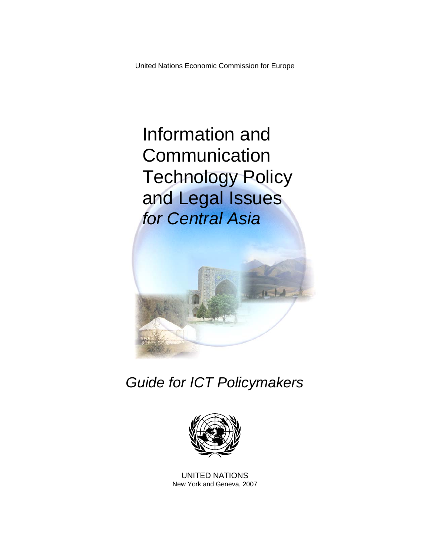Information and **Communication** Technology Policy and Legal Issues *for Central Asia* 



*Guide for ICT Policymakers* 



UNITED NATIONS New York and Geneva, 2007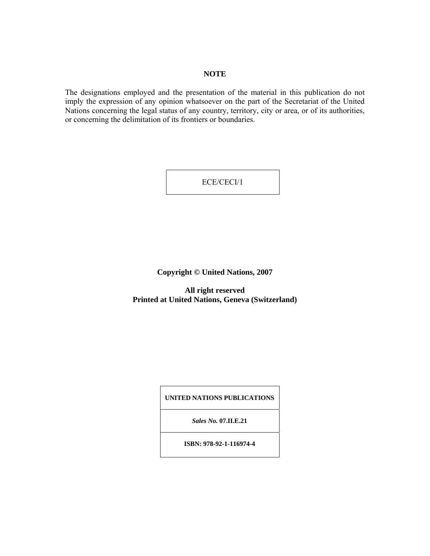#### **NOTE**

The designations employed and the presentation of the material in this publication do not imply the expression of any opinion whatsoever on the part of the Secretariat of the United Nations concerning the legal status of any country, territory, city or area, or of its authorities, or concerning the delimitation of its frontiers or boundaries.

ECE/CECI/1

**Copyright © United Nations, 2007** 

**All right reserved Printed at United Nations, Geneva (Switzerland)**

**UNITED NATIONS PUBLICATIONS** 

*Sales No.* **07.II.E.21** 

**ISBN: 978-92-1-116974-4**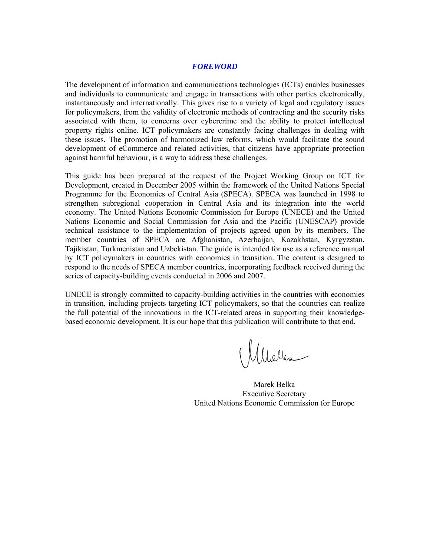#### *FOREWORD*

The development of information and communications technologies (ICTs) enables businesses and individuals to communicate and engage in transactions with other parties electronically, instantaneously and internationally. This gives rise to a variety of legal and regulatory issues for policymakers, from the validity of electronic methods of contracting and the security risks associated with them, to concerns over cybercrime and the ability to protect intellectual property rights online. ICT policymakers are constantly facing challenges in dealing with these issues. The promotion of harmonized law reforms, which would facilitate the sound development of eCommerce and related activities, that citizens have appropriate protection against harmful behaviour, is a way to address these challenges.

This guide has been prepared at the request of the Project Working Group on ICT for Development, created in December 2005 within the framework of the United Nations Special Programme for the Economies of Central Asia (SPECA). SPECA was launched in 1998 to strengthen subregional cooperation in Central Asia and its integration into the world economy. The United Nations Economic Commission for Europe (UNECE) and the United Nations Economic and Social Commission for Asia and the Pacific (UNESCAP) provide technical assistance to the implementation of projects agreed upon by its members. The member countries of SPECA are Afghanistan, Azerbaijan, Kazakhstan, Kyrgyzstan, Tajikistan, Turkmenistan and Uzbekistan. The guide is intended for use as a reference manual by ICT policymakers in countries with economies in transition. The content is designed to respond to the needs of SPECA member countries, incorporating feedback received during the series of capacity-building events conducted in 2006 and 2007.

UNECE is strongly committed to capacity-building activities in the countries with economies in transition, including projects targeting ICT policymakers, so that the countries can realize the full potential of the innovations in the ICT-related areas in supporting their knowledgebased economic development. It is our hope that this publication will contribute to that end.

Muelles

Marek Belka Executive Secretary United Nations Economic Commission for Europe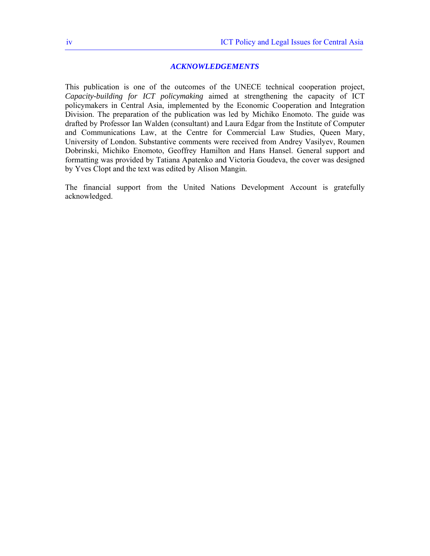#### *ACKNOWLEDGEMENTS*

This publication is one of the outcomes of the UNECE technical cooperation project, *Capacity-building for ICT policymaking* aimed at strengthening the capacity of ICT policymakers in Central Asia, implemented by the Economic Cooperation and Integration Division. The preparation of the publication was led by Michiko Enomoto. The guide was drafted by Professor Ian Walden (consultant) and Laura Edgar from the Institute of Computer and Communications Law, at the Centre for Commercial Law Studies, Queen Mary, University of London. Substantive comments were received from Andrey Vasilyev, Roumen Dobrinski, Michiko Enomoto, Geoffrey Hamilton and Hans Hansel. General support and formatting was provided by Tatiana Apatenko and Victoria Goudeva, the cover was designed by Yves Clopt and the text was edited by Alison Mangin.

The financial support from the United Nations Development Account is gratefully acknowledged.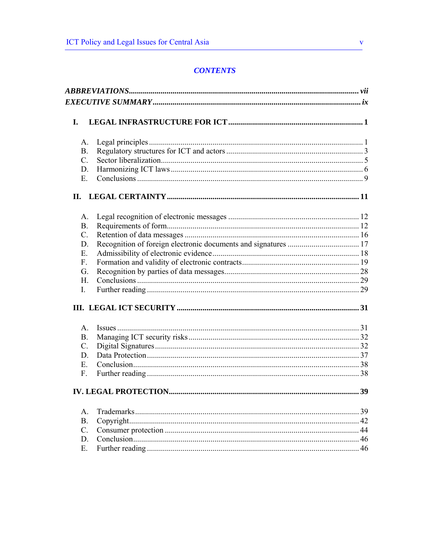# **CONTENTS**

| I.              |  |
|-----------------|--|
| A.              |  |
| <b>B.</b>       |  |
| $C$ .           |  |
| D.              |  |
| $E_{\cdot}$     |  |
|                 |  |
| A.              |  |
| <b>B.</b>       |  |
| $\mathcal{C}$ . |  |
| D.              |  |
| E.              |  |
| $F_{\cdot}$     |  |
| G.              |  |
| H.              |  |
| $\mathbf{I}$ .  |  |
|                 |  |
| $\mathsf{A}$ .  |  |
| <b>B</b> .      |  |
| $\mathcal{C}$ . |  |
| D.              |  |
| E.              |  |
| $F_{\cdot}$     |  |
|                 |  |
| A.              |  |
| <b>B.</b>       |  |
| $C$ .           |  |
| D.              |  |
| E.              |  |
|                 |  |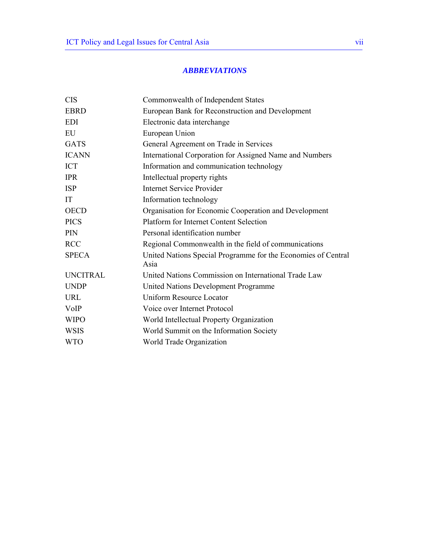# *ABBREVIATIONS*

| <b>CIS</b>      | Commonwealth of Independent States                                    |
|-----------------|-----------------------------------------------------------------------|
| <b>EBRD</b>     | European Bank for Reconstruction and Development                      |
| <b>EDI</b>      | Electronic data interchange                                           |
| EU              | European Union                                                        |
| <b>GATS</b>     | General Agreement on Trade in Services                                |
| <b>ICANN</b>    | International Corporation for Assigned Name and Numbers               |
| <b>ICT</b>      | Information and communication technology                              |
| <b>IPR</b>      | Intellectual property rights                                          |
| <b>ISP</b>      | <b>Internet Service Provider</b>                                      |
| IT              | Information technology                                                |
| <b>OECD</b>     | Organisation for Economic Cooperation and Development                 |
| <b>PICS</b>     | Platform for Internet Content Selection                               |
| PIN             | Personal identification number                                        |
| <b>RCC</b>      | Regional Commonwealth in the field of communications                  |
| <b>SPECA</b>    | United Nations Special Programme for the Economies of Central<br>Asia |
| <b>UNCITRAL</b> | United Nations Commission on International Trade Law                  |
| <b>UNDP</b>     | United Nations Development Programme                                  |
| <b>URL</b>      | <b>Uniform Resource Locator</b>                                       |
| VoIP            | Voice over Internet Protocol                                          |
| <b>WIPO</b>     | World Intellectual Property Organization                              |
| <b>WSIS</b>     | World Summit on the Information Society                               |
| <b>WTO</b>      | World Trade Organization                                              |
|                 |                                                                       |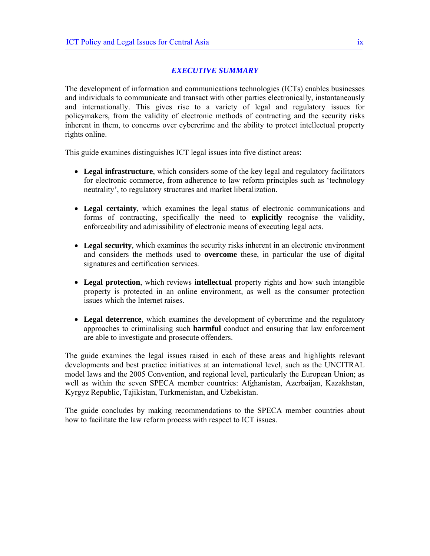#### *EXECUTIVE SUMMARY*

The development of information and communications technologies (ICTs) enables businesses and individuals to communicate and transact with other parties electronically, instantaneously and internationally. This gives rise to a variety of legal and regulatory issues for policymakers, from the validity of electronic methods of contracting and the security risks inherent in them, to concerns over cybercrime and the ability to protect intellectual property rights online.

This guide examines distinguishes ICT legal issues into five distinct areas:

- **Legal infrastructure**, which considers some of the key legal and regulatory facilitators for electronic commerce, from adherence to law reform principles such as 'technology neutrality', to regulatory structures and market liberalization.
- **Legal certainty**, which examines the legal status of electronic communications and forms of contracting, specifically the need to **explicitly** recognise the validity, enforceability and admissibility of electronic means of executing legal acts.
- **Legal security**, which examines the security risks inherent in an electronic environment and considers the methods used to **overcome** these, in particular the use of digital signatures and certification services.
- **Legal protection**, which reviews **intellectual** property rights and how such intangible property is protected in an online environment, as well as the consumer protection issues which the Internet raises.
- **Legal deterrence**, which examines the development of cybercrime and the regulatory approaches to criminalising such **harmful** conduct and ensuring that law enforcement are able to investigate and prosecute offenders.

The guide examines the legal issues raised in each of these areas and highlights relevant developments and best practice initiatives at an international level, such as the UNCITRAL model laws and the 2005 Convention, and regional level, particularly the European Union; as well as within the seven SPECA member countries: Afghanistan, Azerbaijan, Kazakhstan, Kyrgyz Republic, Tajikistan, Turkmenistan, and Uzbekistan.

The guide concludes by making recommendations to the SPECA member countries about how to facilitate the law reform process with respect to ICT issues.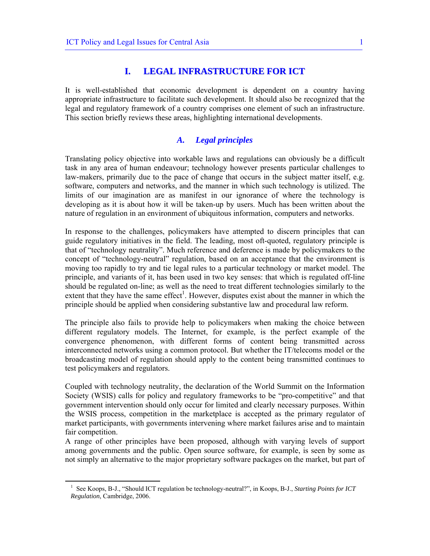# **I. LEGAL INFRASTRUCTURE FOR ICT**

It is well-established that economic development is dependent on a country having appropriate infrastructure to facilitate such development. It should also be recognized that the legal and regulatory framework of a country comprises one element of such an infrastructure. This section briefly reviews these areas, highlighting international developments.

### *A. Legal principles*

Translating policy objective into workable laws and regulations can obviously be a difficult task in any area of human endeavour; technology however presents particular challenges to law-makers, primarily due to the pace of change that occurs in the subject matter itself, e.g. software, computers and networks, and the manner in which such technology is utilized. The limits of our imagination are as manifest in our ignorance of where the technology is developing as it is about how it will be taken-up by users. Much has been written about the nature of regulation in an environment of ubiquitous information, computers and networks.

In response to the challenges, policymakers have attempted to discern principles that can guide regulatory initiatives in the field. The leading, most oft-quoted, regulatory principle is that of "technology neutrality". Much reference and deference is made by policymakers to the concept of "technology-neutral" regulation, based on an acceptance that the environment is moving too rapidly to try and tie legal rules to a particular technology or market model. The principle, and variants of it, has been used in two key senses: that which is regulated off-line should be regulated on-line; as well as the need to treat different technologies similarly to the extent that they have the same effect<sup>1</sup>. However, disputes exist about the manner in which the principle should be applied when considering substantive law and procedural law reform.

The principle also fails to provide help to policymakers when making the choice between different regulatory models. The Internet, for example, is the perfect example of the convergence phenomenon, with different forms of content being transmitted across interconnected networks using a common protocol. But whether the IT/telecoms model or the broadcasting model of regulation should apply to the content being transmitted continues to test policymakers and regulators.

Coupled with technology neutrality, the declaration of the World Summit on the Information Society (WSIS) calls for policy and regulatory frameworks to be "pro-competitive" and that government intervention should only occur for limited and clearly necessary purposes. Within the WSIS process, competition in the marketplace is accepted as the primary regulator of market participants, with governments intervening where market failures arise and to maintain fair competition.

A range of other principles have been proposed, although with varying levels of support among governments and the public. Open source software, for example, is seen by some as not simply an alternative to the major proprietary software packages on the market, but part of

<sup>&</sup>lt;sup>1</sup> See Koops, B-J., "Should ICT regulation be technology-neutral?", in Koops, B-J., *Starting Points for ICT Regulation*, Cambridge, 2006.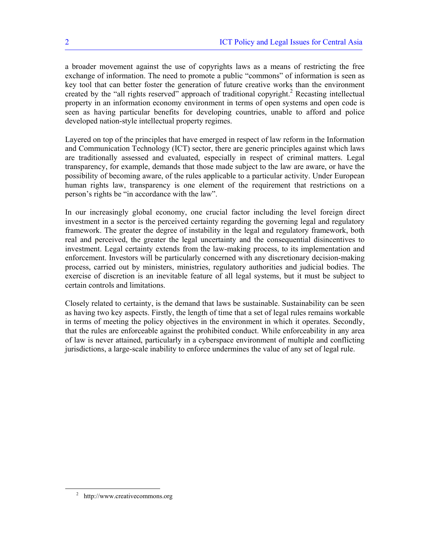a broader movement against the use of copyrights laws as a means of restricting the free exchange of information. The need to promote a public "commons" of information is seen as key tool that can better foster the generation of future creative works than the environment created by the "all rights reserved" approach of traditional copyright.<sup>2</sup> Recasting intellectual property in an information economy environment in terms of open systems and open code is seen as having particular benefits for developing countries, unable to afford and police developed nation-style intellectual property regimes.

Layered on top of the principles that have emerged in respect of law reform in the Information and Communication Technology (ICT) sector, there are generic principles against which laws are traditionally assessed and evaluated, especially in respect of criminal matters. Legal transparency, for example, demands that those made subject to the law are aware, or have the possibility of becoming aware, of the rules applicable to a particular activity. Under European human rights law, transparency is one element of the requirement that restrictions on a person's rights be "in accordance with the law".

In our increasingly global economy, one crucial factor including the level foreign direct investment in a sector is the perceived certainty regarding the governing legal and regulatory framework. The greater the degree of instability in the legal and regulatory framework, both real and perceived, the greater the legal uncertainty and the consequential disincentives to investment. Legal certainty extends from the law-making process, to its implementation and enforcement. Investors will be particularly concerned with any discretionary decision-making process, carried out by ministers, ministries, regulatory authorities and judicial bodies. The exercise of discretion is an inevitable feature of all legal systems, but it must be subject to certain controls and limitations.

Closely related to certainty, is the demand that laws be sustainable. Sustainability can be seen as having two key aspects. Firstly, the length of time that a set of legal rules remains workable in terms of meeting the policy objectives in the environment in which it operates. Secondly, that the rules are enforceable against the prohibited conduct. While enforceability in any area of law is never attained, particularly in a cyberspace environment of multiple and conflicting jurisdictions, a large-scale inability to enforce undermines the value of any set of legal rule.

 <sup>2</sup> http://www.creativecommons.org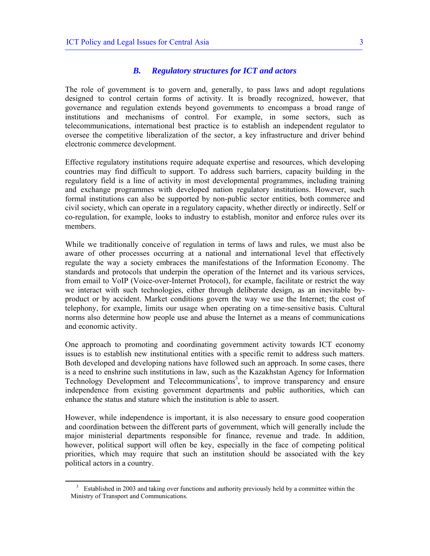### *B. Regulatory structures for ICT and actors*

The role of government is to govern and, generally, to pass laws and adopt regulations designed to control certain forms of activity. It is broadly recognized, however, that governance and regulation extends beyond governments to encompass a broad range of institutions and mechanisms of control. For example, in some sectors, such as telecommunications, international best practice is to establish an independent regulator to oversee the competitive liberalization of the sector, a key infrastructure and driver behind electronic commerce development.

Effective regulatory institutions require adequate expertise and resources, which developing countries may find difficult to support. To address such barriers, capacity building in the regulatory field is a line of activity in most developmental programmes, including training and exchange programmes with developed nation regulatory institutions. However, such formal institutions can also be supported by non-public sector entities, both commerce and civil society, which can operate in a regulatory capacity, whether directly or indirectly. Self or co-regulation, for example, looks to industry to establish, monitor and enforce rules over its members.

While we traditionally conceive of regulation in terms of laws and rules, we must also be aware of other processes occurring at a national and international level that effectively regulate the way a society embraces the manifestations of the Information Economy. The standards and protocols that underpin the operation of the Internet and its various services, from email to VoIP (Voice-over-Internet Protocol), for example, facilitate or restrict the way we interact with such technologies, either through deliberate design, as an inevitable byproduct or by accident. Market conditions govern the way we use the Internet; the cost of telephony, for example, limits our usage when operating on a time-sensitive basis. Cultural norms also determine how people use and abuse the Internet as a means of communications and economic activity.

One approach to promoting and coordinating government activity towards ICT economy issues is to establish new institutional entities with a specific remit to address such matters. Both developed and developing nations have followed such an approach. In some cases, there is a need to enshrine such institutions in law, such as the Kazakhstan Agency for Information Technology Development and Telecommunications<sup>3</sup>, to improve transparency and ensure independence from existing government departments and public authorities, which can enhance the status and stature which the institution is able to assert.

However, while independence is important, it is also necessary to ensure good cooperation and coordination between the different parts of government, which will generally include the major ministerial departments responsible for finance, revenue and trade. In addition, however, political support will often be key, especially in the face of competing political priorities, which may require that such an institution should be associated with the key political actors in a country.

 $\frac{1}{3}$ <sup>3</sup> Established in 2003 and taking over functions and authority previously held by a committee within the Ministry of Transport and Communications.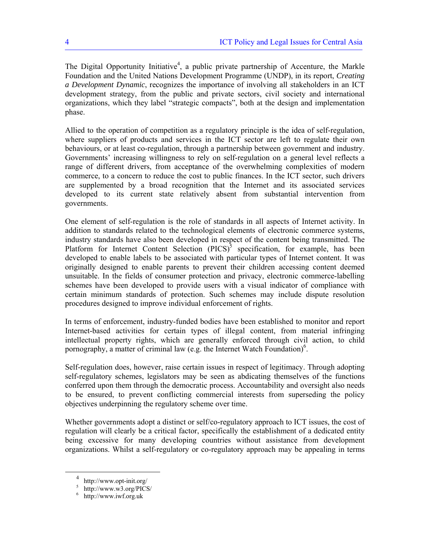The Digital Opportunity Initiative<sup>4</sup>, a public private partnership of Accenture, the Markle Foundation and the United Nations Development Programme (UNDP), in its report, *Creating a Development Dynamic*, recognizes the importance of involving all stakeholders in an ICT development strategy, from the public and private sectors, civil society and international organizations, which they label "strategic compacts", both at the design and implementation phase.

Allied to the operation of competition as a regulatory principle is the idea of self-regulation, where suppliers of products and services in the ICT sector are left to regulate their own behaviours, or at least co-regulation, through a partnership between government and industry. Governments' increasing willingness to rely on self-regulation on a general level reflects a range of different drivers, from acceptance of the overwhelming complexities of modern commerce, to a concern to reduce the cost to public finances. In the ICT sector, such drivers are supplemented by a broad recognition that the Internet and its associated services developed to its current state relatively absent from substantial intervention from governments.

One element of self-regulation is the role of standards in all aspects of Internet activity. In addition to standards related to the technological elements of electronic commerce systems, industry standards have also been developed in respect of the content being transmitted. The Platform for Internet Content Selection  $(PICS)^5$  specification, for example, has been developed to enable labels to be associated with particular types of Internet content. It was originally designed to enable parents to prevent their children accessing content deemed unsuitable. In the fields of consumer protection and privacy, electronic commerce-labelling schemes have been developed to provide users with a visual indicator of compliance with certain minimum standards of protection. Such schemes may include dispute resolution procedures designed to improve individual enforcement of rights.

In terms of enforcement, industry-funded bodies have been established to monitor and report Internet-based activities for certain types of illegal content, from material infringing intellectual property rights, which are generally enforced through civil action, to child pornography, a matter of criminal law (e.g. the Internet Watch Foundation)<sup>6</sup>.

Self-regulation does, however, raise certain issues in respect of legitimacy. Through adopting self-regulatory schemes, legislators may be seen as abdicating themselves of the functions conferred upon them through the democratic process. Accountability and oversight also needs to be ensured, to prevent conflicting commercial interests from superseding the policy objectives underpinning the regulatory scheme over time.

Whether governments adopt a distinct or self/co-regulatory approach to ICT issues, the cost of regulation will clearly be a critical factor, specifically the establishment of a dedicated entity being excessive for many developing countries without assistance from development organizations. Whilst a self-regulatory or co-regulatory approach may be appealing in terms

 $\overline{4}$ http://www.opt-init.org/

<sup>5</sup> http://www.w3.org/PICS/

<sup>6</sup> http://www.iwf.org.uk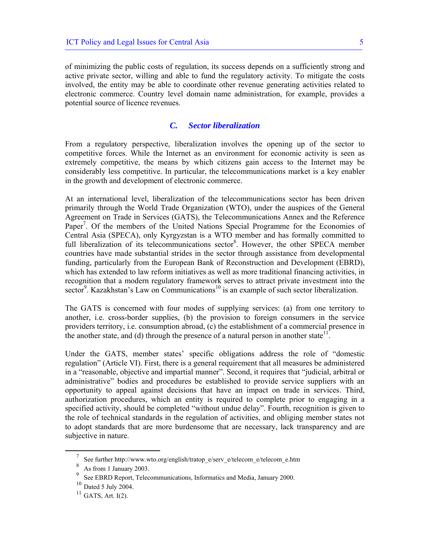of minimizing the public costs of regulation, its success depends on a sufficiently strong and active private sector, willing and able to fund the regulatory activity. To mitigate the costs involved, the entity may be able to coordinate other revenue generating activities related to electronic commerce. Country level domain name administration, for example, provides a potential source of licence revenues.

### *C. Sector liberalization*

From a regulatory perspective, liberalization involves the opening up of the sector to competitive forces. While the Internet as an environment for economic activity is seen as extremely competitive, the means by which citizens gain access to the Internet may be considerably less competitive. In particular, the telecommunications market is a key enabler in the growth and development of electronic commerce.

At an international level, liberalization of the telecommunications sector has been driven primarily through the World Trade Organization (WTO), under the auspices of the General Agreement on Trade in Services (GATS), the Telecommunications Annex and the Reference Paper<sup>7</sup>. Of the members of the United Nations Special Programme for the Economies of Central Asia (SPECA), only Kyrgyzstan is a WTO member and has formally committed to full liberalization of its telecommunications sector<sup>8</sup>. However, the other SPECA member countries have made substantial strides in the sector through assistance from developmental funding, particularly from the European Bank of Reconstruction and Development (EBRD), which has extended to law reform initiatives as well as more traditional financing activities, in recognition that a modern regulatory framework serves to attract private investment into the sector<sup>9</sup>. Kazakhstan's Law on Communications<sup>10</sup> is an example of such sector liberalization.

The GATS is concerned with four modes of supplying services: (a) from one territory to another, i.e. cross-border supplies, (b) the provision to foreign consumers in the service providers territory, i.e. consumption abroad, (c) the establishment of a commercial presence in the another state, and (d) through the presence of a natural person in another state<sup>11</sup>.

Under the GATS, member states' specific obligations address the role of "domestic regulation" (Article VI). First, there is a general requirement that all measures be administered in a "reasonable, objective and impartial manner". Second, it requires that "judicial, arbitral or administrative" bodies and procedures be established to provide service suppliers with an opportunity to appeal against decisions that have an impact on trade in services. Third, authorization procedures, which an entity is required to complete prior to engaging in a specified activity, should be completed "without undue delay". Fourth, recognition is given to the role of technical standards in the regulation of activities, and obliging member states not to adopt standards that are more burdensome that are necessary, lack transparency and are subjective in nature.

 $\frac{1}{7}$ See further http://www.wto.org/english/tratop\_e/serv\_e/telecom\_e/telecom\_e.htm

<sup>8</sup> As from 1 January 2003.

<sup>&</sup>lt;sup>9</sup> See EBRD Report, Telecommunications, Informatics and Media, January 2000.

<sup>10</sup> Dated 5 July 2004.

 $11$  GATS, Art. I(2).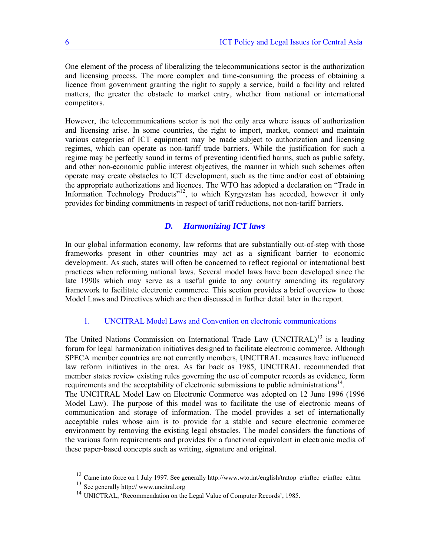One element of the process of liberalizing the telecommunications sector is the authorization and licensing process. The more complex and time-consuming the process of obtaining a licence from government granting the right to supply a service, build a facility and related matters, the greater the obstacle to market entry, whether from national or international competitors.

However, the telecommunications sector is not the only area where issues of authorization and licensing arise. In some countries, the right to import, market, connect and maintain various categories of ICT equipment may be made subject to authorization and licensing regimes, which can operate as non-tariff trade barriers. While the justification for such a regime may be perfectly sound in terms of preventing identified harms, such as public safety, and other non-economic public interest objectives, the manner in which such schemes often operate may create obstacles to ICT development, such as the time and/or cost of obtaining the appropriate authorizations and licences. The WTO has adopted a declaration on "Trade in Information Technology Products<sup>"12</sup>, to which Kyrgyzstan has acceded, however it only provides for binding commitments in respect of tariff reductions, not non-tariff barriers.

### *D. Harmonizing ICT laws*

In our global information economy, law reforms that are substantially out-of-step with those frameworks present in other countries may act as a significant barrier to economic development. As such, states will often be concerned to reflect regional or international best practices when reforming national laws. Several model laws have been developed since the late 1990s which may serve as a useful guide to any country amending its regulatory framework to facilitate electronic commerce. This section provides a brief overview to those Model Laws and Directives which are then discussed in further detail later in the report.

#### 1. UNCITRAL Model Laws and Convention on electronic communications

The United Nations Commission on International Trade Law  $(UNCITRAL)^{13}$  is a leading forum for legal harmonization initiatives designed to facilitate electronic commerce. Although SPECA member countries are not currently members, UNCITRAL measures have influenced law reform initiatives in the area. As far back as 1985, UNCITRAL recommended that member states review existing rules governing the use of computer records as evidence, form requirements and the acceptability of electronic submissions to public administrations<sup>14</sup>. The UNCITRAL Model Law on Electronic Commerce was adopted on 12 June 1996 (1996 Model Law). The purpose of this model was to facilitate the use of electronic means of communication and storage of information. The model provides a set of internationally acceptable rules whose aim is to provide for a stable and secure electronic commerce

environment by removing the existing legal obstacles. The model considers the functions of the various form requirements and provides for a functional equivalent in electronic media of these paper-based concepts such as writing, signature and original.

 <sup>12</sup> Came into force on 1 July 1997. See generally http://www.wto.int/english/tratop\_e/inftec\_e/inftec\_e.htm

 $13$  See generally http:// www.uncitral.org

<sup>&</sup>lt;sup>14</sup> UNICTRAL. 'Recommendation on the Legal Value of Computer Records', 1985.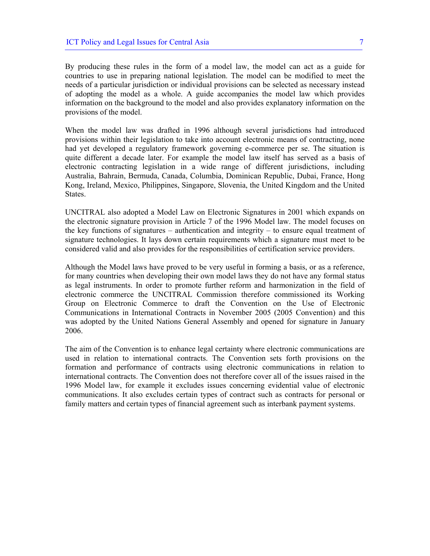By producing these rules in the form of a model law, the model can act as a guide for countries to use in preparing national legislation. The model can be modified to meet the needs of a particular jurisdiction or individual provisions can be selected as necessary instead of adopting the model as a whole. A guide accompanies the model law which provides information on the background to the model and also provides explanatory information on the provisions of the model.

When the model law was drafted in 1996 although several jurisdictions had introduced provisions within their legislation to take into account electronic means of contracting, none had yet developed a regulatory framework governing e-commerce per se. The situation is quite different a decade later. For example the model law itself has served as a basis of electronic contracting legislation in a wide range of different jurisdictions, including Australia, Bahrain, Bermuda, Canada, Columbia, Dominican Republic, Dubai, France, Hong Kong, Ireland, Mexico, Philippines, Singapore, Slovenia, the United Kingdom and the United States.

UNCITRAL also adopted a Model Law on Electronic Signatures in 2001 which expands on the electronic signature provision in Article 7 of the 1996 Model law. The model focuses on the key functions of signatures – authentication and integrity – to ensure equal treatment of signature technologies. It lays down certain requirements which a signature must meet to be considered valid and also provides for the responsibilities of certification service providers.

Although the Model laws have proved to be very useful in forming a basis, or as a reference, for many countries when developing their own model laws they do not have any formal status as legal instruments. In order to promote further reform and harmonization in the field of electronic commerce the UNCITRAL Commission therefore commissioned its Working Group on Electronic Commerce to draft the Convention on the Use of Electronic Communications in International Contracts in November 2005 (2005 Convention) and this was adopted by the United Nations General Assembly and opened for signature in January 2006.

The aim of the Convention is to enhance legal certainty where electronic communications are used in relation to international contracts. The Convention sets forth provisions on the formation and performance of contracts using electronic communications in relation to international contracts. The Convention does not therefore cover all of the issues raised in the 1996 Model law, for example it excludes issues concerning evidential value of electronic communications. It also excludes certain types of contract such as contracts for personal or family matters and certain types of financial agreement such as interbank payment systems.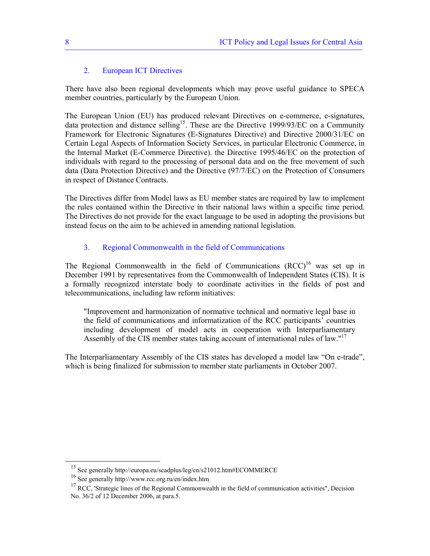### 2. European ICT Directives

There have also been regional developments which may prove useful guidance to SPECA member countries, particularly by the European Union.

The European Union (EU) has produced relevant Directives on e-commerce, e-signatures, data protection and distance selling<sup>15</sup>. These are the Directive 1999/93/EC on a Community Framework for Electronic Signatures (E-Signatures Directive) and Directive 2000/31/EC on Certain Legal Aspects of Information Society Services, in particular Electronic Commerce, in the Internal Market (E-Commerce Directive). the Directive 1995/46/EC on the protection of individuals with regard to the processing of personal data and on the free movement of such data (Data Protection Directive) and the Directive (97/7/EC) on the Protection of Consumers in respect of Distance Contracts.

The Directives differ from Model laws as EU member states are required by law to implement the rules contained within the Directive in their national laws within a specific time period. The Directives do not provide for the exact language to be used in adopting the provisions but instead focus on the aim to be achieved in amending national legislation.

# 3. Regional Commonwealth in the field of Communications

The Regional Commonwealth in the field of Communications  $(RCC)^{16}$  was set up in December 1991 by representatives from the Commonwealth of Independent States (CIS). It is a formally recognized interstate body to coordinate activities in the fields of post and telecommunications, including law reform initiatives:

"Improvement and harmonization of normative technical and normative legal base in the field of communications and informatization of the RCC participants' countries including development of model acts in cooperation with Interparliamentary Assembly of the CIS member states taking account of international rules of law."<sup>17</sup>

The Interparliamentary Assembly of the CIS states has developed a model law "On e-trade", which is being finalized for submission to member state parliaments in October 2007.

 <sup>15</sup> See generally http://europa.eu/scadplus/leg/en/s21012.htm#ECOMMERCE

<sup>16</sup> See generally http://www.rcc.org.ru/en/index.htm

<sup>&</sup>lt;sup>17</sup> RCC, 'Strategic lines of the Regional Commonwealth in the field of communication activities", Decision No. 36/2 of 12 December 2006, at para.5.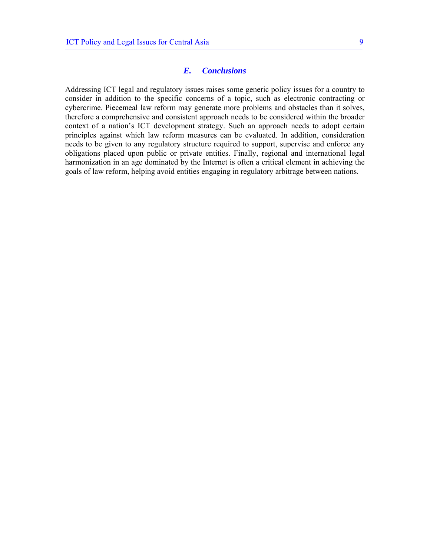### *E. Conclusions*

Addressing ICT legal and regulatory issues raises some generic policy issues for a country to consider in addition to the specific concerns of a topic, such as electronic contracting or cybercrime. Piecemeal law reform may generate more problems and obstacles than it solves, therefore a comprehensive and consistent approach needs to be considered within the broader context of a nation's ICT development strategy. Such an approach needs to adopt certain principles against which law reform measures can be evaluated. In addition, consideration needs to be given to any regulatory structure required to support, supervise and enforce any obligations placed upon public or private entities. Finally, regional and international legal harmonization in an age dominated by the Internet is often a critical element in achieving the goals of law reform, helping avoid entities engaging in regulatory arbitrage between nations.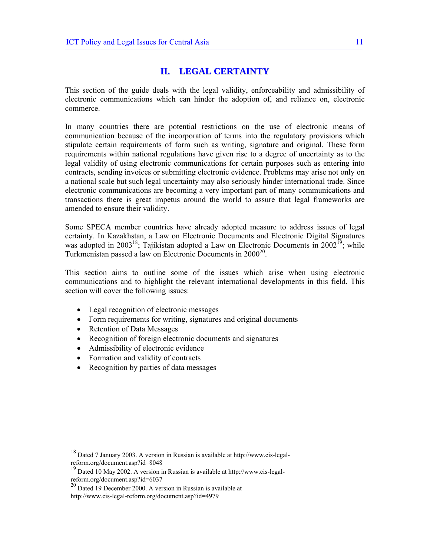# **II. LEGAL CERTAINTY**

This section of the guide deals with the legal validity, enforceability and admissibility of electronic communications which can hinder the adoption of, and reliance on, electronic commerce.

In many countries there are potential restrictions on the use of electronic means of communication because of the incorporation of terms into the regulatory provisions which stipulate certain requirements of form such as writing, signature and original. These form requirements within national regulations have given rise to a degree of uncertainty as to the legal validity of using electronic communications for certain purposes such as entering into contracts, sending invoices or submitting electronic evidence. Problems may arise not only on a national scale but such legal uncertainty may also seriously hinder international trade. Since electronic communications are becoming a very important part of many communications and transactions there is great impetus around the world to assure that legal frameworks are amended to ensure their validity.

Some SPECA member countries have already adopted measure to address issues of legal certainty. In Kazakhstan, a Law on Electronic Documents and Electronic Digital Signatures was adopted in 2003<sup>18</sup>; Tajikistan adopted a Law on Electronic Documents in 2002<sup>19</sup>; while Turkmenistan passed a law on Electronic Documents in 2000<sup>20</sup>.

This section aims to outline some of the issues which arise when using electronic communications and to highlight the relevant international developments in this field. This section will cover the following issues:

- Legal recognition of electronic messages
- Form requirements for writing, signatures and original documents
- Retention of Data Messages
- Recognition of foreign electronic documents and signatures
- Admissibility of electronic evidence
- Formation and validity of contracts
- Recognition by parties of data messages

 <sup>18</sup> Dated 7 January 2003. A version in Russian is available at http://www.cis-legalreform.org/document.asp?id=8048

<sup>19</sup> Dated 10 May 2002. A version in Russian is available at http://www.cis-legalreform.org/document.asp?id=6037

<sup>20</sup> Dated 19 December 2000. A version in Russian is available at http://www.cis-legal-reform.org/document.asp?id=4979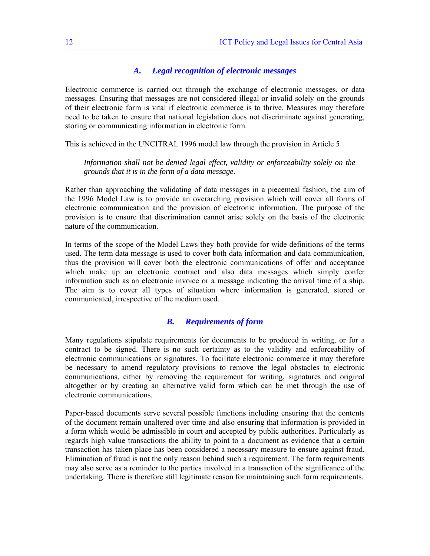### *A. Legal recognition of electronic messages*

Electronic commerce is carried out through the exchange of electronic messages, or data messages. Ensuring that messages are not considered illegal or invalid solely on the grounds of their electronic form is vital if electronic commerce is to thrive. Measures may therefore need to be taken to ensure that national legislation does not discriminate against generating, storing or communicating information in electronic form.

This is achieved in the UNCITRAL 1996 model law through the provision in Article 5

*Information shall not be denied legal effect, validity or enforceability solely on the grounds that it is in the form of a data message.* 

Rather than approaching the validating of data messages in a piecemeal fashion, the aim of the 1996 Model Law is to provide an overarching provision which will cover all forms of electronic communication and the provision of electronic information. The purpose of the provision is to ensure that discrimination cannot arise solely on the basis of the electronic nature of the communication.

In terms of the scope of the Model Laws they both provide for wide definitions of the terms used. The term data message is used to cover both data information and data communication, thus the provision will cover both the electronic communications of offer and acceptance which make up an electronic contract and also data messages which simply confer information such as an electronic invoice or a message indicating the arrival time of a ship. The aim is to cover all types of situation where information is generated, stored or communicated, irrespective of the medium used.

#### *B. Requirements of form*

Many regulations stipulate requirements for documents to be produced in writing, or for a contract to be signed. There is no such certainty as to the validity and enforceability of electronic communications or signatures. To facilitate electronic commerce it may therefore be necessary to amend regulatory provisions to remove the legal obstacles to electronic communications, either by removing the requirement for writing, signatures and original altogether or by creating an alternative valid form which can be met through the use of electronic communications.

Paper-based documents serve several possible functions including ensuring that the contents of the document remain unaltered over time and also ensuring that information is provided in a form which would be admissible in court and accepted by public authorities. Particularly as regards high value transactions the ability to point to a document as evidence that a certain transaction has taken place has been considered a necessary measure to ensure against fraud. Elimination of fraud is not the only reason behind such a requirement. The form requirements may also serve as a reminder to the parties involved in a transaction of the significance of the undertaking. There is therefore still legitimate reason for maintaining such form requirements.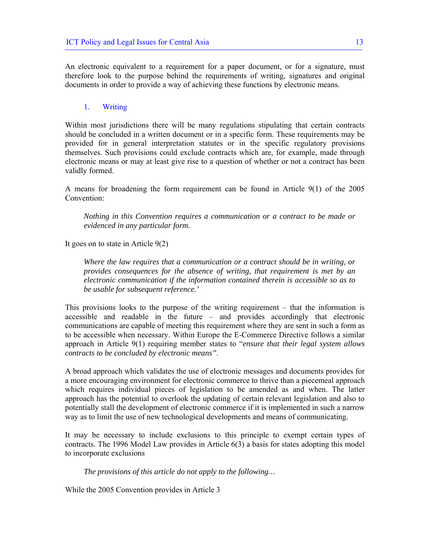An electronic equivalent to a requirement for a paper document, or for a signature, must therefore look to the purpose behind the requirements of writing, signatures and original documents in order to provide a way of achieving these functions by electronic means.

#### 1. Writing

Within most jurisdictions there will be many regulations stipulating that certain contracts should be concluded in a written document or in a specific form. These requirements may be provided for in general interpretation statutes or in the specific regulatory provisions themselves. Such provisions could exclude contracts which are, for example, made through electronic means or may at least give rise to a question of whether or not a contract has been validly formed.

A means for broadening the form requirement can be found in Article 9(1) of the 2005 Convention:

*Nothing in this Convention requires a communication or a contract to be made or evidenced in any particular form.* 

It goes on to state in Article 9(2)

*Where the law requires that a communication or a contract should be in writing, or provides consequences for the absence of writing, that requirement is met by an electronic communication if the information contained therein is accessible so as to be usable for subsequent reference.'* 

This provisions looks to the purpose of the writing requirement – that the information is accessible and readable in the future – and provides accordingly that electronic communications are capable of meeting this requirement where they are sent in such a form as to be accessible when necessary. Within Europe the E-Commerce Directive follows a similar approach in Article 9(1) requiring member states to "*ensure that their legal system allows contracts to be concluded by electronic means"*.

A broad approach which validates the use of electronic messages and documents provides for a more encouraging environment for electronic commerce to thrive than a piecemeal approach which requires individual pieces of legislation to be amended as and when. The latter approach has the potential to overlook the updating of certain relevant legislation and also to potentially stall the development of electronic commerce if it is implemented in such a narrow way as to limit the use of new technological developments and means of communicating.

It may be necessary to include exclusions to this principle to exempt certain types of contracts. The 1996 Model Law provides in Article 6(3) a basis for states adopting this model to incorporate exclusions

*The provisions of this article do not apply to the following…* 

While the 2005 Convention provides in Article 3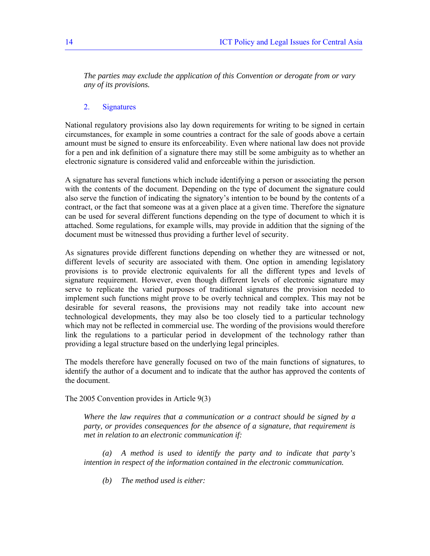*The parties may exclude the application of this Convention or derogate from or vary any of its provisions.* 

#### 2. Signatures

National regulatory provisions also lay down requirements for writing to be signed in certain circumstances, for example in some countries a contract for the sale of goods above a certain amount must be signed to ensure its enforceability. Even where national law does not provide for a pen and ink definition of a signature there may still be some ambiguity as to whether an electronic signature is considered valid and enforceable within the jurisdiction.

A signature has several functions which include identifying a person or associating the person with the contents of the document. Depending on the type of document the signature could also serve the function of indicating the signatory's intention to be bound by the contents of a contract, or the fact that someone was at a given place at a given time. Therefore the signature can be used for several different functions depending on the type of document to which it is attached. Some regulations, for example wills, may provide in addition that the signing of the document must be witnessed thus providing a further level of security.

As signatures provide different functions depending on whether they are witnessed or not, different levels of security are associated with them. One option in amending legislatory provisions is to provide electronic equivalents for all the different types and levels of signature requirement. However, even though different levels of electronic signature may serve to replicate the varied purposes of traditional signatures the provision needed to implement such functions might prove to be overly technical and complex. This may not be desirable for several reasons, the provisions may not readily take into account new technological developments, they may also be too closely tied to a particular technology which may not be reflected in commercial use. The wording of the provisions would therefore link the regulations to a particular period in development of the technology rather than providing a legal structure based on the underlying legal principles.

The models therefore have generally focused on two of the main functions of signatures, to identify the author of a document and to indicate that the author has approved the contents of the document.

The 2005 Convention provides in Article 9(3)

*Where the law requires that a communication or a contract should be signed by a party, or provides consequences for the absence of a signature, that requirement is met in relation to an electronic communication if:* 

*(a) A method is used to identify the party and to indicate that party's intention in respect of the information contained in the electronic communication.* 

*(b) The method used is either:*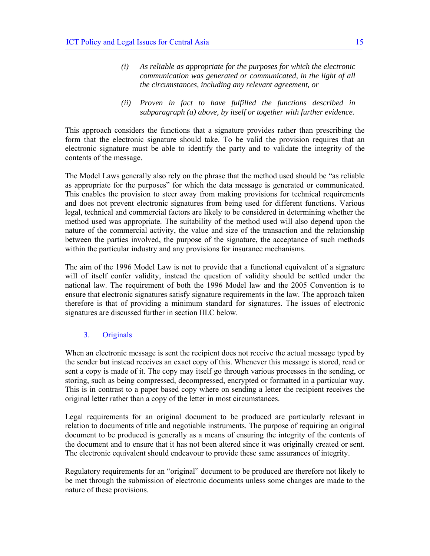- *(i) As reliable as appropriate for the purposes for which the electronic communication was generated or communicated, in the light of all the circumstances, including any relevant agreement, or*
- *(ii) Proven in fact to have fulfilled the functions described in subparagraph (a) above, by itself or together with further evidence.*

This approach considers the functions that a signature provides rather than prescribing the form that the electronic signature should take. To be valid the provision requires that an electronic signature must be able to identify the party and to validate the integrity of the contents of the message.

The Model Laws generally also rely on the phrase that the method used should be "as reliable as appropriate for the purposes" for which the data message is generated or communicated. This enables the provision to steer away from making provisions for technical requirements and does not prevent electronic signatures from being used for different functions. Various legal, technical and commercial factors are likely to be considered in determining whether the method used was appropriate. The suitability of the method used will also depend upon the nature of the commercial activity, the value and size of the transaction and the relationship between the parties involved, the purpose of the signature, the acceptance of such methods within the particular industry and any provisions for insurance mechanisms.

The aim of the 1996 Model Law is not to provide that a functional equivalent of a signature will of itself confer validity, instead the question of validity should be settled under the national law. The requirement of both the 1996 Model law and the 2005 Convention is to ensure that electronic signatures satisfy signature requirements in the law. The approach taken therefore is that of providing a minimum standard for signatures. The issues of electronic signatures are discussed further in section III.C below.

### 3. Originals

When an electronic message is sent the recipient does not receive the actual message typed by the sender but instead receives an exact copy of this. Whenever this message is stored, read or sent a copy is made of it. The copy may itself go through various processes in the sending, or storing, such as being compressed, decompressed, encrypted or formatted in a particular way. This is in contrast to a paper based copy where on sending a letter the recipient receives the original letter rather than a copy of the letter in most circumstances.

Legal requirements for an original document to be produced are particularly relevant in relation to documents of title and negotiable instruments. The purpose of requiring an original document to be produced is generally as a means of ensuring the integrity of the contents of the document and to ensure that it has not been altered since it was originally created or sent. The electronic equivalent should endeavour to provide these same assurances of integrity.

Regulatory requirements for an "original" document to be produced are therefore not likely to be met through the submission of electronic documents unless some changes are made to the nature of these provisions.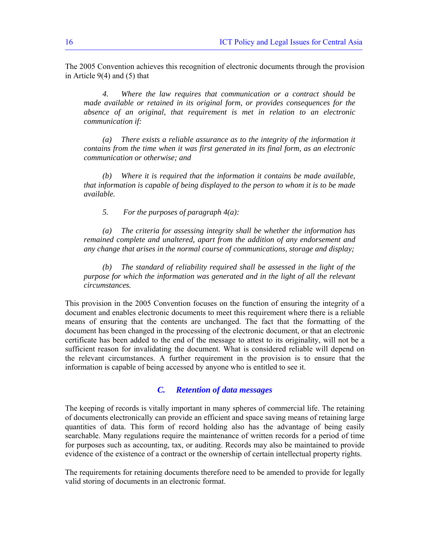The 2005 Convention achieves this recognition of electronic documents through the provision in Article 9(4) and (5) that

*4. Where the law requires that communication or a contract should be made available or retained in its original form, or provides consequences for the absence of an original, that requirement is met in relation to an electronic communication if:* 

*(a) There exists a reliable assurance as to the integrity of the information it contains from the time when it was first generated in its final form, as an electronic communication or otherwise; and* 

*(b) Where it is required that the information it contains be made available, that information is capable of being displayed to the person to whom it is to be made available.* 

*5. For the purposes of paragraph 4(a):* 

*(a) The criteria for assessing integrity shall be whether the information has remained complete and unaltered, apart from the addition of any endorsement and any change that arises in the normal course of communications, storage and display;* 

*(b) The standard of reliability required shall be assessed in the light of the purpose for which the information was generated and in the light of all the relevant circumstances.* 

This provision in the 2005 Convention focuses on the function of ensuring the integrity of a document and enables electronic documents to meet this requirement where there is a reliable means of ensuring that the contents are unchanged. The fact that the formatting of the document has been changed in the processing of the electronic document, or that an electronic certificate has been added to the end of the message to attest to its originality, will not be a sufficient reason for invalidating the document. What is considered reliable will depend on the relevant circumstances. A further requirement in the provision is to ensure that the information is capable of being accessed by anyone who is entitled to see it.

## *C. Retention of data messages*

The keeping of records is vitally important in many spheres of commercial life. The retaining of documents electronically can provide an efficient and space saving means of retaining large quantities of data. This form of record holding also has the advantage of being easily searchable. Many regulations require the maintenance of written records for a period of time for purposes such as accounting, tax, or auditing. Records may also be maintained to provide evidence of the existence of a contract or the ownership of certain intellectual property rights.

The requirements for retaining documents therefore need to be amended to provide for legally valid storing of documents in an electronic format.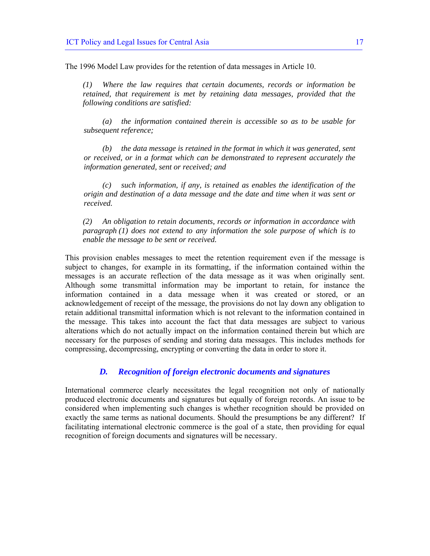The 1996 Model Law provides for the retention of data messages in Article 10.

*(1) Where the law requires that certain documents, records or information be retained, that requirement is met by retaining data messages, provided that the following conditions are satisfied:* 

*(a) the information contained therein is accessible so as to be usable for subsequent reference;* 

*(b) the data message is retained in the format in which it was generated, sent or received, or in a format which can be demonstrated to represent accurately the information generated, sent or received; and* 

*(c) such information, if any, is retained as enables the identification of the origin and destination of a data message and the date and time when it was sent or received.* 

*(2) An obligation to retain documents, records or information in accordance with paragraph (1) does not extend to any information the sole purpose of which is to enable the message to be sent or received.* 

This provision enables messages to meet the retention requirement even if the message is subject to changes, for example in its formatting, if the information contained within the messages is an accurate reflection of the data message as it was when originally sent. Although some transmittal information may be important to retain, for instance the information contained in a data message when it was created or stored, or an acknowledgement of receipt of the message, the provisions do not lay down any obligation to retain additional transmittal information which is not relevant to the information contained in the message. This takes into account the fact that data messages are subject to various alterations which do not actually impact on the information contained therein but which are necessary for the purposes of sending and storing data messages. This includes methods for compressing, decompressing, encrypting or converting the data in order to store it.

#### *D. Recognition of foreign electronic documents and signatures*

International commerce clearly necessitates the legal recognition not only of nationally produced electronic documents and signatures but equally of foreign records. An issue to be considered when implementing such changes is whether recognition should be provided on exactly the same terms as national documents. Should the presumptions be any different? If facilitating international electronic commerce is the goal of a state, then providing for equal recognition of foreign documents and signatures will be necessary.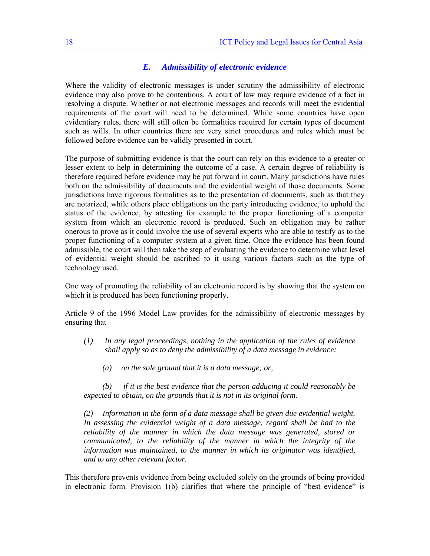#### *E. Admissibility of electronic evidence*

Where the validity of electronic messages is under scrutiny the admissibility of electronic evidence may also prove to be contentious. A court of law may require evidence of a fact in resolving a dispute. Whether or not electronic messages and records will meet the evidential requirements of the court will need to be determined. While some countries have open evidentiary rules, there will still often be formalities required for certain types of document such as wills. In other countries there are very strict procedures and rules which must be followed before evidence can be validly presented in court.

The purpose of submitting evidence is that the court can rely on this evidence to a greater or lesser extent to help in determining the outcome of a case. A certain degree of reliability is therefore required before evidence may be put forward in court. Many jurisdictions have rules both on the admissibility of documents and the evidential weight of those documents. Some jurisdictions have rigorous formalities as to the presentation of documents, such as that they are notarized, while others place obligations on the party introducing evidence, to uphold the status of the evidence, by attesting for example to the proper functioning of a computer system from which an electronic record is produced. Such an obligation may be rather onerous to prove as it could involve the use of several experts who are able to testify as to the proper functioning of a computer system at a given time. Once the evidence has been found admissible, the court will then take the step of evaluating the evidence to determine what level of evidential weight should be ascribed to it using various factors such as the type of technology used.

One way of promoting the reliability of an electronic record is by showing that the system on which it is produced has been functioning properly.

Article 9 of the 1996 Model Law provides for the admissibility of electronic messages by ensuring that

- *(1) In any legal proceedings, nothing in the application of the rules of evidence shall apply so as to deny the admissibility of a data message in evidence:* 
	- *(a) on the sole ground that it is a data message; or,*

*(b) if it is the best evidence that the person adducing it could reasonably be expected to obtain, on the grounds that it is not in its original form.* 

*(2) Information in the form of a data message shall be given due evidential weight. In assessing the evidential weight of a data message, regard shall be had to the reliability of the manner in which the data message was generated, stored or communicated, to the reliability of the manner in which the integrity of the information was maintained, to the manner in which its originator was identified, and to any other relevant factor.* 

This therefore prevents evidence from being excluded solely on the grounds of being provided in electronic form. Provision 1(b) clarifies that where the principle of "best evidence" is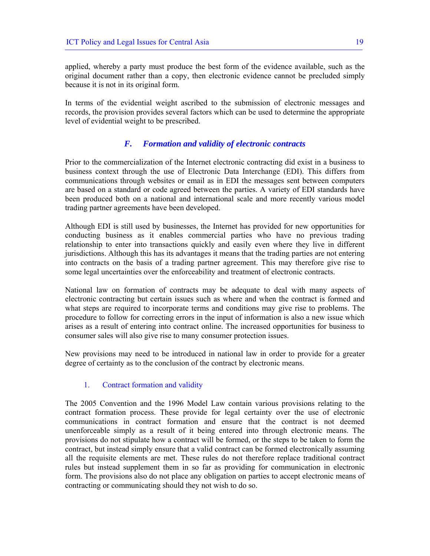applied, whereby a party must produce the best form of the evidence available, such as the original document rather than a copy, then electronic evidence cannot be precluded simply because it is not in its original form.

In terms of the evidential weight ascribed to the submission of electronic messages and records, the provision provides several factors which can be used to determine the appropriate level of evidential weight to be prescribed.

### *F. Formation and validity of electronic contracts*

Prior to the commercialization of the Internet electronic contracting did exist in a business to business context through the use of Electronic Data Interchange (EDI). This differs from communications through websites or email as in EDI the messages sent between computers are based on a standard or code agreed between the parties. A variety of EDI standards have been produced both on a national and international scale and more recently various model trading partner agreements have been developed.

Although EDI is still used by businesses, the Internet has provided for new opportunities for conducting business as it enables commercial parties who have no previous trading relationship to enter into transactions quickly and easily even where they live in different jurisdictions. Although this has its advantages it means that the trading parties are not entering into contracts on the basis of a trading partner agreement. This may therefore give rise to some legal uncertainties over the enforceability and treatment of electronic contracts.

National law on formation of contracts may be adequate to deal with many aspects of electronic contracting but certain issues such as where and when the contract is formed and what steps are required to incorporate terms and conditions may give rise to problems. The procedure to follow for correcting errors in the input of information is also a new issue which arises as a result of entering into contract online. The increased opportunities for business to consumer sales will also give rise to many consumer protection issues.

New provisions may need to be introduced in national law in order to provide for a greater degree of certainty as to the conclusion of the contract by electronic means.

#### 1. Contract formation and validity

The 2005 Convention and the 1996 Model Law contain various provisions relating to the contract formation process. These provide for legal certainty over the use of electronic communications in contract formation and ensure that the contract is not deemed unenforceable simply as a result of it being entered into through electronic means. The provisions do not stipulate how a contract will be formed, or the steps to be taken to form the contract, but instead simply ensure that a valid contract can be formed electronically assuming all the requisite elements are met. These rules do not therefore replace traditional contract rules but instead supplement them in so far as providing for communication in electronic form. The provisions also do not place any obligation on parties to accept electronic means of contracting or communicating should they not wish to do so.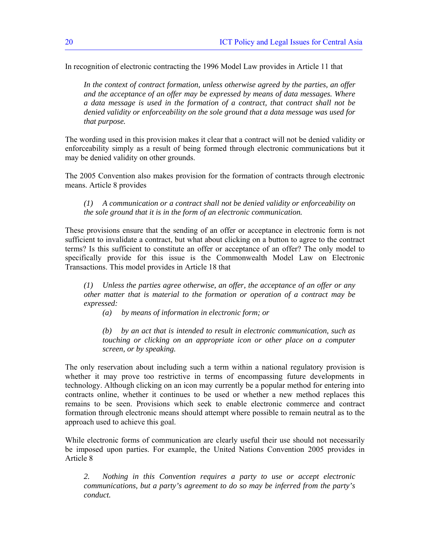In recognition of electronic contracting the 1996 Model Law provides in Article 11 that

*In the context of contract formation, unless otherwise agreed by the parties, an offer and the acceptance of an offer may be expressed by means of data messages. Where a data message is used in the formation of a contract, that contract shall not be denied validity or enforceability on the sole ground that a data message was used for that purpose.* 

The wording used in this provision makes it clear that a contract will not be denied validity or enforceability simply as a result of being formed through electronic communications but it may be denied validity on other grounds.

The 2005 Convention also makes provision for the formation of contracts through electronic means. Article 8 provides

*(1) A communication or a contract shall not be denied validity or enforceability on the sole ground that it is in the form of an electronic communication.* 

These provisions ensure that the sending of an offer or acceptance in electronic form is not sufficient to invalidate a contract, but what about clicking on a button to agree to the contract terms? Is this sufficient to constitute an offer or acceptance of an offer? The only model to specifically provide for this issue is the Commonwealth Model Law on Electronic Transactions. This model provides in Article 18 that

*(1) Unless the parties agree otherwise, an offer, the acceptance of an offer or any other matter that is material to the formation or operation of a contract may be expressed:* 

*(a) by means of information in electronic form; or* 

*(b) by an act that is intended to result in electronic communication, such as touching or clicking on an appropriate icon or other place on a computer screen, or by speaking.* 

The only reservation about including such a term within a national regulatory provision is whether it may prove too restrictive in terms of encompassing future developments in technology. Although clicking on an icon may currently be a popular method for entering into contracts online, whether it continues to be used or whether a new method replaces this remains to be seen. Provisions which seek to enable electronic commerce and contract formation through electronic means should attempt where possible to remain neutral as to the approach used to achieve this goal.

While electronic forms of communication are clearly useful their use should not necessarily be imposed upon parties. For example, the United Nations Convention 2005 provides in Article 8

*2. Nothing in this Convention requires a party to use or accept electronic communications, but a party's agreement to do so may be inferred from the party's conduct.*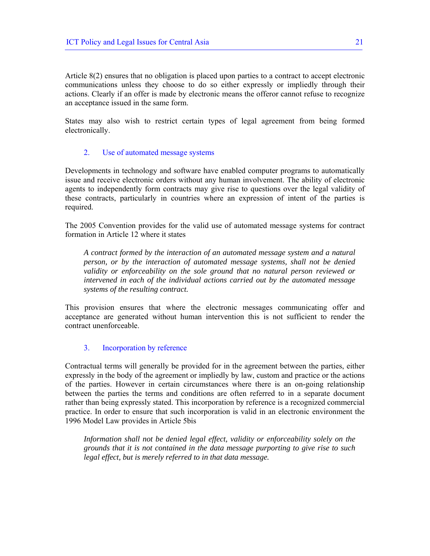Article 8(2) ensures that no obligation is placed upon parties to a contract to accept electronic communications unless they choose to do so either expressly or impliedly through their actions. Clearly if an offer is made by electronic means the offeror cannot refuse to recognize an acceptance issued in the same form.

States may also wish to restrict certain types of legal agreement from being formed electronically.

### 2. Use of automated message systems

Developments in technology and software have enabled computer programs to automatically issue and receive electronic orders without any human involvement. The ability of electronic agents to independently form contracts may give rise to questions over the legal validity of these contracts, particularly in countries where an expression of intent of the parties is required.

The 2005 Convention provides for the valid use of automated message systems for contract formation in Article 12 where it states

*A contract formed by the interaction of an automated message system and a natural person, or by the interaction of automated message systems, shall not be denied validity or enforceability on the sole ground that no natural person reviewed or intervened in each of the individual actions carried out by the automated message systems of the resulting contract.* 

This provision ensures that where the electronic messages communicating offer and acceptance are generated without human intervention this is not sufficient to render the contract unenforceable.

#### 3. Incorporation by reference

Contractual terms will generally be provided for in the agreement between the parties, either expressly in the body of the agreement or impliedly by law, custom and practice or the actions of the parties. However in certain circumstances where there is an on-going relationship between the parties the terms and conditions are often referred to in a separate document rather than being expressly stated. This incorporation by reference is a recognized commercial practice. In order to ensure that such incorporation is valid in an electronic environment the 1996 Model Law provides in Article 5bis

*Information shall not be denied legal effect, validity or enforceability solely on the grounds that it is not contained in the data message purporting to give rise to such legal effect, but is merely referred to in that data message.*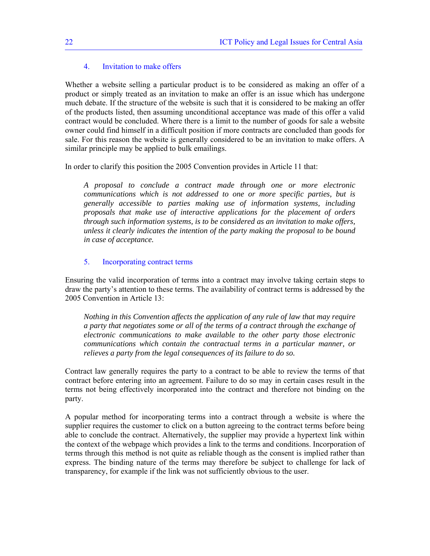### 4. Invitation to make offers

Whether a website selling a particular product is to be considered as making an offer of a product or simply treated as an invitation to make an offer is an issue which has undergone much debate. If the structure of the website is such that it is considered to be making an offer of the products listed, then assuming unconditional acceptance was made of this offer a valid contract would be concluded. Where there is a limit to the number of goods for sale a website owner could find himself in a difficult position if more contracts are concluded than goods for sale. For this reason the website is generally considered to be an invitation to make offers. A similar principle may be applied to bulk emailings.

In order to clarify this position the 2005 Convention provides in Article 11 that:

*A proposal to conclude a contract made through one or more electronic communications which is not addressed to one or more specific parties, but is generally accessible to parties making use of information systems, including proposals that make use of interactive applications for the placement of orders through such information systems, is to be considered as an invitation to make offers, unless it clearly indicates the intention of the party making the proposal to be bound in case of acceptance.*

### 5. Incorporating contract terms

Ensuring the valid incorporation of terms into a contract may involve taking certain steps to draw the party's attention to these terms. The availability of contract terms is addressed by the 2005 Convention in Article 13:

*Nothing in this Convention affects the application of any rule of law that may require a party that negotiates some or all of the terms of a contract through the exchange of electronic communications to make available to the other party those electronic communications which contain the contractual terms in a particular manner, or relieves a party from the legal consequences of its failure to do so.* 

Contract law generally requires the party to a contract to be able to review the terms of that contract before entering into an agreement. Failure to do so may in certain cases result in the terms not being effectively incorporated into the contract and therefore not binding on the party.

A popular method for incorporating terms into a contract through a website is where the supplier requires the customer to click on a button agreeing to the contract terms before being able to conclude the contract. Alternatively, the supplier may provide a hypertext link within the context of the webpage which provides a link to the terms and conditions. Incorporation of terms through this method is not quite as reliable though as the consent is implied rather than express. The binding nature of the terms may therefore be subject to challenge for lack of transparency, for example if the link was not sufficiently obvious to the user.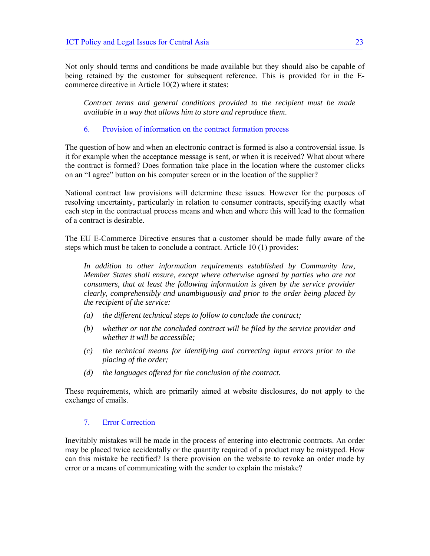Not only should terms and conditions be made available but they should also be capable of being retained by the customer for subsequent reference. This is provided for in the Ecommerce directive in Article 10(2) where it states:

*Contract terms and general conditions provided to the recipient must be made available in a way that allows him to store and reproduce them*.

#### 6. Provision of information on the contract formation process

The question of how and when an electronic contract is formed is also a controversial issue. Is it for example when the acceptance message is sent, or when it is received? What about where the contract is formed? Does formation take place in the location where the customer clicks on an "I agree" button on his computer screen or in the location of the supplier?

National contract law provisions will determine these issues. However for the purposes of resolving uncertainty, particularly in relation to consumer contracts, specifying exactly what each step in the contractual process means and when and where this will lead to the formation of a contract is desirable.

The EU E-Commerce Directive ensures that a customer should be made fully aware of the steps which must be taken to conclude a contract. Article 10 (1) provides:

*In addition to other information requirements established by Community law, Member States shall ensure, except where otherwise agreed by parties who are not consumers, that at least the following information is given by the service provider clearly, comprehensibly and unambiguously and prior to the order being placed by the recipient of the service:*

- *(a) the different technical steps to follow to conclude the contract;*
- *(b) whether or not the concluded contract will be filed by the service provider and whether it will be accessible;*
- *(c) the technical means for identifying and correcting input errors prior to the placing of the order;*
- *(d) the languages offered for the conclusion of the contract.*

These requirements, which are primarily aimed at website disclosures, do not apply to the exchange of emails.

#### 7. Error Correction

Inevitably mistakes will be made in the process of entering into electronic contracts. An order may be placed twice accidentally or the quantity required of a product may be mistyped. How can this mistake be rectified? Is there provision on the website to revoke an order made by error or a means of communicating with the sender to explain the mistake?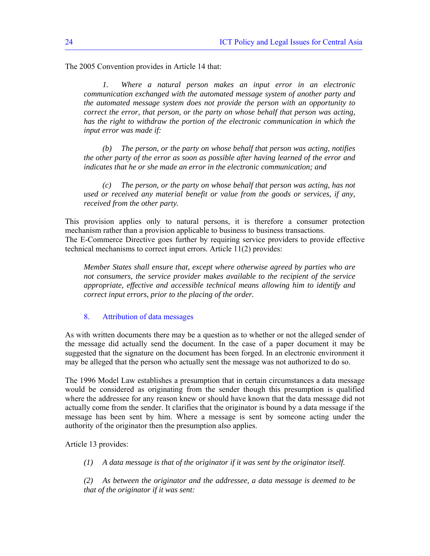The 2005 Convention provides in Article 14 that:

*1. Where a natural person makes an input error in an electronic communication exchanged with the automated message system of another party and the automated message system does not provide the person with an opportunity to correct the error, that person, or the party on whose behalf that person was acting, has the right to withdraw the portion of the electronic communication in which the input error was made if:* 

*(b) The person, or the party on whose behalf that person was acting, notifies the other party of the error as soon as possible after having learned of the error and indicates that he or she made an error in the electronic communication; and* 

*(c) The person, or the party on whose behalf that person was acting, has not used or received any material benefit or value from the goods or services, if any, received from the other party.* 

This provision applies only to natural persons, it is therefore a consumer protection mechanism rather than a provision applicable to business to business transactions. The E-Commerce Directive goes further by requiring service providers to provide effective technical mechanisms to correct input errors. Article 11(2) provides:

*Member States shall ensure that, except where otherwise agreed by parties who are not consumers, the service provider makes available to the recipient of the service appropriate, effective and accessible technical means allowing him to identify and correct input errors, prior to the placing of the order.* 

#### 8. Attribution of data messages

As with written documents there may be a question as to whether or not the alleged sender of the message did actually send the document. In the case of a paper document it may be suggested that the signature on the document has been forged. In an electronic environment it may be alleged that the person who actually sent the message was not authorized to do so.

The 1996 Model Law establishes a presumption that in certain circumstances a data message would be considered as originating from the sender though this presumption is qualified where the addressee for any reason knew or should have known that the data message did not actually come from the sender. It clarifies that the originator is bound by a data message if the message has been sent by him. Where a message is sent by someone acting under the authority of the originator then the presumption also applies.

Article 13 provides:

*(1) A data message is that of the originator if it was sent by the originator itself.* 

*(2) As between the originator and the addressee, a data message is deemed to be that of the originator if it was sent:*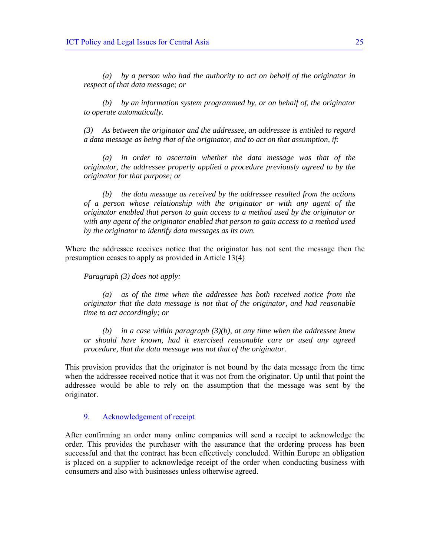*(a) by a person who had the authority to act on behalf of the originator in respect of that data message; or* 

*(b) by an information system programmed by, or on behalf of, the originator to operate automatically.* 

*(3) As between the originator and the addressee, an addressee is entitled to regard a data message as being that of the originator, and to act on that assumption, if:* 

*(a) in order to ascertain whether the data message was that of the originator, the addressee properly applied a procedure previously agreed to by the originator for that purpose; or* 

*(b) the data message as received by the addressee resulted from the actions of a person whose relationship with the originator or with any agent of the originator enabled that person to gain access to a method used by the originator or with any agent of the originator enabled that person to gain access to a method used by the originator to identify data messages as its own.* 

Where the addressee receives notice that the originator has not sent the message then the presumption ceases to apply as provided in Article 13(4)

*Paragraph (3) does not apply:* 

*(a) as of the time when the addressee has both received notice from the originator that the data message is not that of the originator, and had reasonable time to act accordingly; or* 

*(b) in a case within paragraph (3)(b), at any time when the addressee knew or should have known, had it exercised reasonable care or used any agreed procedure, that the data message was not that of the originator.* 

This provision provides that the originator is not bound by the data message from the time when the addressee received notice that it was not from the originator. Up until that point the addressee would be able to rely on the assumption that the message was sent by the originator.

#### 9. Acknowledgement of receipt

After confirming an order many online companies will send a receipt to acknowledge the order. This provides the purchaser with the assurance that the ordering process has been successful and that the contract has been effectively concluded. Within Europe an obligation is placed on a supplier to acknowledge receipt of the order when conducting business with consumers and also with businesses unless otherwise agreed.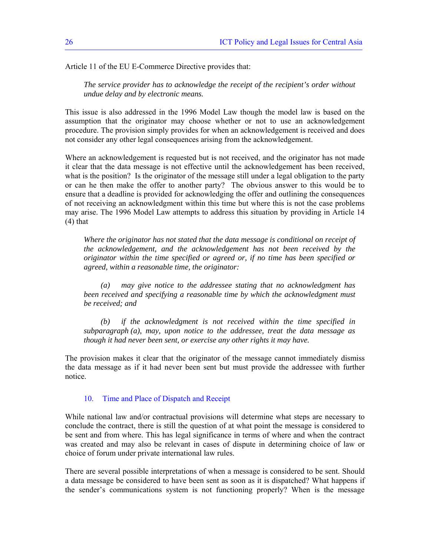Article 11 of the EU E-Commerce Directive provides that:

*The service provider has to acknowledge the receipt of the recipient's order without undue delay and by electronic means.* 

This issue is also addressed in the 1996 Model Law though the model law is based on the assumption that the originator may choose whether or not to use an acknowledgement procedure. The provision simply provides for when an acknowledgement is received and does not consider any other legal consequences arising from the acknowledgement.

Where an acknowledgement is requested but is not received, and the originator has not made it clear that the data message is not effective until the acknowledgement has been received, what is the position? Is the originator of the message still under a legal obligation to the party or can he then make the offer to another party? The obvious answer to this would be to ensure that a deadline is provided for acknowledging the offer and outlining the consequences of not receiving an acknowledgment within this time but where this is not the case problems may arise. The 1996 Model Law attempts to address this situation by providing in Article 14 (4) that

*Where the originator has not stated that the data message is conditional on receipt of the acknowledgement, and the acknowledgement has not been received by the originator within the time specified or agreed or, if no time has been specified or agreed, within a reasonable time, the originator:* 

*(a) may give notice to the addressee stating that no acknowledgment has been received and specifying a reasonable time by which the acknowledgment must be received; and* 

*(b) if the acknowledgment is not received within the time specified in subparagraph (a), may, upon notice to the addressee, treat the data message as though it had never been sent, or exercise any other rights it may have.* 

The provision makes it clear that the originator of the message cannot immediately dismiss the data message as if it had never been sent but must provide the addressee with further notice.

#### 10. Time and Place of Dispatch and Receipt

While national law and/or contractual provisions will determine what steps are necessary to conclude the contract, there is still the question of at what point the message is considered to be sent and from where. This has legal significance in terms of where and when the contract was created and may also be relevant in cases of dispute in determining choice of law or choice of forum under private international law rules.

There are several possible interpretations of when a message is considered to be sent. Should a data message be considered to have been sent as soon as it is dispatched? What happens if the sender's communications system is not functioning properly? When is the message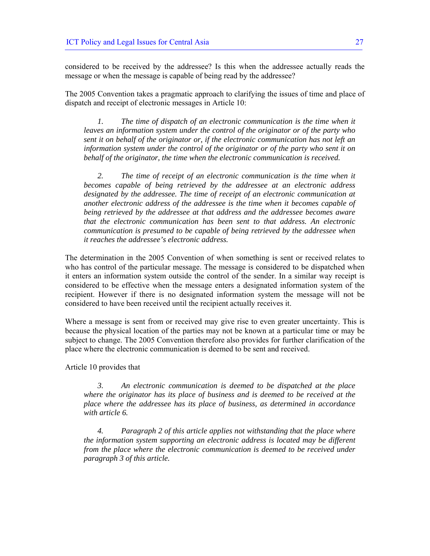considered to be received by the addressee? Is this when the addressee actually reads the message or when the message is capable of being read by the addressee?

The 2005 Convention takes a pragmatic approach to clarifying the issues of time and place of dispatch and receipt of electronic messages in Article 10:

*1. The time of dispatch of an electronic communication is the time when it leaves an information system under the control of the originator or of the party who sent it on behalf of the originator or, if the electronic communication has not left an information system under the control of the originator or of the party who sent it on behalf of the originator, the time when the electronic communication is received.* 

2. The time of receipt of an electronic communication is the time when it *becomes capable of being retrieved by the addressee at an electronic address designated by the addressee. The time of receipt of an electronic communication at another electronic address of the addressee is the time when it becomes capable of being retrieved by the addressee at that address and the addressee becomes aware that the electronic communication has been sent to that address. An electronic communication is presumed to be capable of being retrieved by the addressee when it reaches the addressee's electronic address.* 

The determination in the 2005 Convention of when something is sent or received relates to who has control of the particular message. The message is considered to be dispatched when it enters an information system outside the control of the sender. In a similar way receipt is considered to be effective when the message enters a designated information system of the recipient. However if there is no designated information system the message will not be considered to have been received until the recipient actually receives it.

Where a message is sent from or received may give rise to even greater uncertainty. This is because the physical location of the parties may not be known at a particular time or may be subject to change. The 2005 Convention therefore also provides for further clarification of the place where the electronic communication is deemed to be sent and received.

Article 10 provides that

*3. An electronic communication is deemed to be dispatched at the place where the originator has its place of business and is deemed to be received at the place where the addressee has its place of business, as determined in accordance with article 6.* 

*4. Paragraph 2 of this article applies not withstanding that the place where the information system supporting an electronic address is located may be different*  from the place where the electronic communication is deemed to be received under *paragraph 3 of this article.*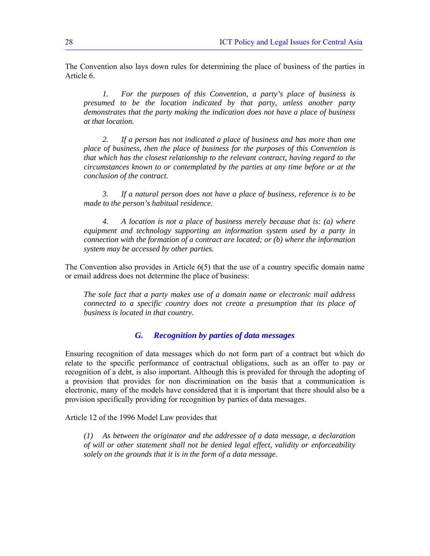The Convention also lays down rules for determining the place of business of the parties in Article 6.

*1. For the purposes of this Convention, a party's place of business is presumed to be the location indicated by that party, unless another party demonstrates that the party making the indication does not have a place of business at that location.* 

*2. If a person has not indicated a place of business and has more than one place of business, then the place of business for the purposes of this Convention is that which has the closest relationship to the relevant contract, having regard to the circumstances known to or contemplated by the parties at any time before or at the conclusion of the contract.* 

*3. If a natural person does not have a place of business, reference is to be made to the person's habitual residence.* 

*4. A location is not a place of business merely because that is: (a) where equipment and technology supporting an information system used by a party in connection with the formation of a contract are located; or (b) where the information system may be accessed by other parties.* 

The Convention also provides in Article  $6(5)$  that the use of a country specific domain name or email address does not determine the place of business:

*The sole fact that a party makes use of a domain name or electronic mail address connected to a specific country does not create a presumption that its place of business is located in that country.* 

#### *G. Recognition by parties of data messages*

Ensuring recognition of data messages which do not form part of a contract but which do relate to the specific performance of contractual obligations, such as an offer to pay or recognition of a debt, is also important. Although this is provided for through the adopting of a provision that provides for non discrimination on the basis that a communication is electronic, many of the models have considered that it is important that there should also be a provision specifically providing for recognition by parties of data messages.

Article 12 of the 1996 Model Law provides that

*(1) As between the originator and the addressee of a data message, a declaration of will or other statement shall not be denied legal effect, validity or enforceability solely on the grounds that it is in the form of a data message.*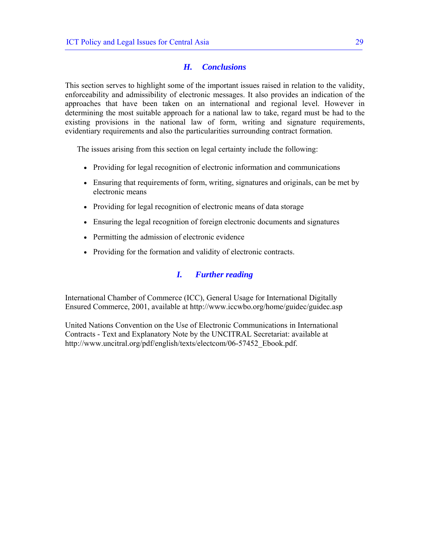### *H. Conclusions*

This section serves to highlight some of the important issues raised in relation to the validity, enforceability and admissibility of electronic messages. It also provides an indication of the approaches that have been taken on an international and regional level. However in determining the most suitable approach for a national law to take, regard must be had to the existing provisions in the national law of form, writing and signature requirements, evidentiary requirements and also the particularities surrounding contract formation.

The issues arising from this section on legal certainty include the following:

- Providing for legal recognition of electronic information and communications
- Ensuring that requirements of form, writing, signatures and originals, can be met by electronic means
- Providing for legal recognition of electronic means of data storage
- Ensuring the legal recognition of foreign electronic documents and signatures
- Permitting the admission of electronic evidence
- Providing for the formation and validity of electronic contracts.

### *I. Further reading*

International Chamber of Commerce (ICC), General Usage for International Digitally Ensured Commerce, 2001, available at http://www.iccwbo.org/home/guidec/guidec.asp

United Nations Convention on the Use of Electronic Communications in International Contracts - Text and Explanatory Note by the UNCITRAL Secretariat: available at http://www.uncitral.org/pdf/english/texts/electcom/06-57452\_Ebook.pdf.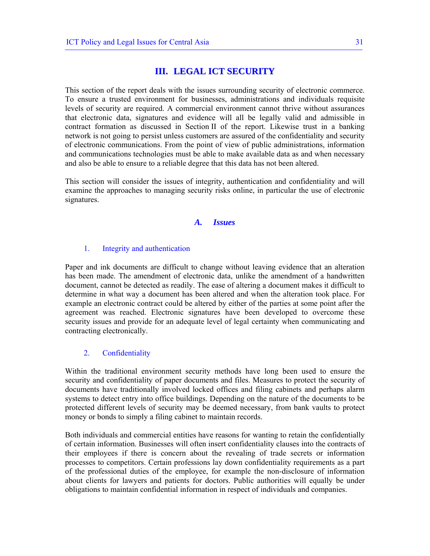# **III. LEGAL ICT SECURITY**

This section of the report deals with the issues surrounding security of electronic commerce. To ensure a trusted environment for businesses, administrations and individuals requisite levels of security are required. A commercial environment cannot thrive without assurances that electronic data, signatures and evidence will all be legally valid and admissible in contract formation as discussed in Section II of the report. Likewise trust in a banking network is not going to persist unless customers are assured of the confidentiality and security of electronic communications. From the point of view of public administrations, information and communications technologies must be able to make available data as and when necessary and also be able to ensure to a reliable degree that this data has not been altered.

This section will consider the issues of integrity, authentication and confidentiality and will examine the approaches to managing security risks online, in particular the use of electronic signatures.

#### *A. Issues*

#### 1. Integrity and authentication

Paper and ink documents are difficult to change without leaving evidence that an alteration has been made. The amendment of electronic data, unlike the amendment of a handwritten document, cannot be detected as readily. The ease of altering a document makes it difficult to determine in what way a document has been altered and when the alteration took place. For example an electronic contract could be altered by either of the parties at some point after the agreement was reached. Electronic signatures have been developed to overcome these security issues and provide for an adequate level of legal certainty when communicating and contracting electronically.

#### 2. Confidentiality

Within the traditional environment security methods have long been used to ensure the security and confidentiality of paper documents and files. Measures to protect the security of documents have traditionally involved locked offices and filing cabinets and perhaps alarm systems to detect entry into office buildings. Depending on the nature of the documents to be protected different levels of security may be deemed necessary, from bank vaults to protect money or bonds to simply a filing cabinet to maintain records.

Both individuals and commercial entities have reasons for wanting to retain the confidentially of certain information. Businesses will often insert confidentiality clauses into the contracts of their employees if there is concern about the revealing of trade secrets or information processes to competitors. Certain professions lay down confidentiality requirements as a part of the professional duties of the employee, for example the non-disclosure of information about clients for lawyers and patients for doctors. Public authorities will equally be under obligations to maintain confidential information in respect of individuals and companies.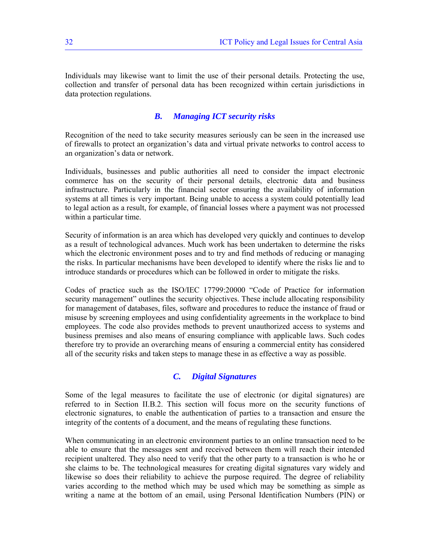Individuals may likewise want to limit the use of their personal details. Protecting the use, collection and transfer of personal data has been recognized within certain jurisdictions in data protection regulations.

### *B. Managing ICT security risks*

Recognition of the need to take security measures seriously can be seen in the increased use of firewalls to protect an organization's data and virtual private networks to control access to an organization's data or network.

Individuals, businesses and public authorities all need to consider the impact electronic commerce has on the security of their personal details, electronic data and business infrastructure. Particularly in the financial sector ensuring the availability of information systems at all times is very important. Being unable to access a system could potentially lead to legal action as a result, for example, of financial losses where a payment was not processed within a particular time.

Security of information is an area which has developed very quickly and continues to develop as a result of technological advances. Much work has been undertaken to determine the risks which the electronic environment poses and to try and find methods of reducing or managing the risks. In particular mechanisms have been developed to identify where the risks lie and to introduce standards or procedures which can be followed in order to mitigate the risks.

Codes of practice such as the ISO/IEC 17799:20000 "Code of Practice for information security management" outlines the security objectives. These include allocating responsibility for management of databases, files, software and procedures to reduce the instance of fraud or misuse by screening employees and using confidentiality agreements in the workplace to bind employees. The code also provides methods to prevent unauthorized access to systems and business premises and also means of ensuring compliance with applicable laws. Such codes therefore try to provide an overarching means of ensuring a commercial entity has considered all of the security risks and taken steps to manage these in as effective a way as possible.

#### *C. Digital Signatures*

Some of the legal measures to facilitate the use of electronic (or digital signatures) are referred to in Section II.B.2. This section will focus more on the security functions of electronic signatures, to enable the authentication of parties to a transaction and ensure the integrity of the contents of a document, and the means of regulating these functions.

When communicating in an electronic environment parties to an online transaction need to be able to ensure that the messages sent and received between them will reach their intended recipient unaltered. They also need to verify that the other party to a transaction is who he or she claims to be. The technological measures for creating digital signatures vary widely and likewise so does their reliability to achieve the purpose required. The degree of reliability varies according to the method which may be used which may be something as simple as writing a name at the bottom of an email, using Personal Identification Numbers (PIN) or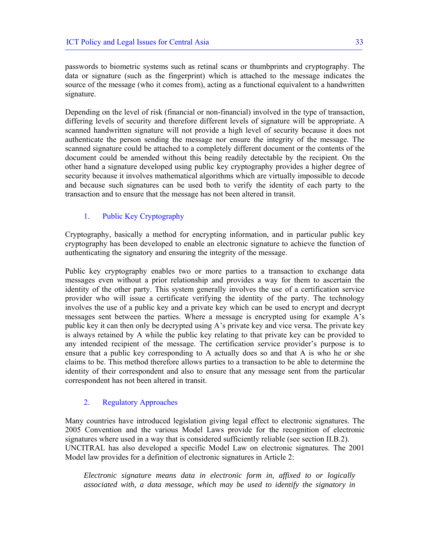passwords to biometric systems such as retinal scans or thumbprints and cryptography. The data or signature (such as the fingerprint) which is attached to the message indicates the source of the message (who it comes from), acting as a functional equivalent to a handwritten signature.

Depending on the level of risk (financial or non-financial) involved in the type of transaction, differing levels of security and therefore different levels of signature will be appropriate. A scanned handwritten signature will not provide a high level of security because it does not authenticate the person sending the message nor ensure the integrity of the message. The scanned signature could be attached to a completely different document or the contents of the document could be amended without this being readily detectable by the recipient. On the other hand a signature developed using public key cryptography provides a higher degree of security because it involves mathematical algorithms which are virtually impossible to decode and because such signatures can be used both to verify the identity of each party to the transaction and to ensure that the message has not been altered in transit.

# 1. Public Key Cryptography

Cryptography, basically a method for encrypting information, and in particular public key cryptography has been developed to enable an electronic signature to achieve the function of authenticating the signatory and ensuring the integrity of the message.

Public key cryptography enables two or more parties to a transaction to exchange data messages even without a prior relationship and provides a way for them to ascertain the identity of the other party. This system generally involves the use of a certification service provider who will issue a certificate verifying the identity of the party. The technology involves the use of a public key and a private key which can be used to encrypt and decrypt messages sent between the parties. Where a message is encrypted using for example A's public key it can then only be decrypted using A's private key and vice versa. The private key is always retained by A while the public key relating to that private key can be provided to any intended recipient of the message. The certification service provider's purpose is to ensure that a public key corresponding to A actually does so and that A is who he or she claims to be. This method therefore allows parties to a transaction to be able to determine the identity of their correspondent and also to ensure that any message sent from the particular correspondent has not been altered in transit.

### 2. Regulatory Approaches

Many countries have introduced legislation giving legal effect to electronic signatures. The 2005 Convention and the various Model Laws provide for the recognition of electronic signatures where used in a way that is considered sufficiently reliable (see section II.B.2). UNCITRAL has also developed a specific Model Law on electronic signatures. The 2001 Model law provides for a definition of electronic signatures in Article 2:

*Electronic signature means data in electronic form in, affixed to or logically associated with, a data message, which may be used to identify the signatory in*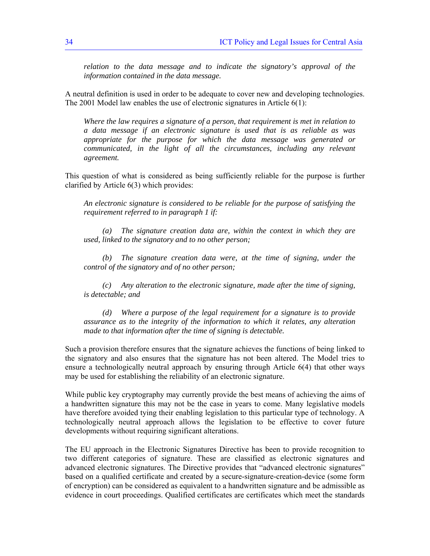*relation to the data message and to indicate the signatory's approval of the information contained in the data message.* 

A neutral definition is used in order to be adequate to cover new and developing technologies. The 2001 Model law enables the use of electronic signatures in Article 6(1):

*Where the law requires a signature of a person, that requirement is met in relation to a data message if an electronic signature is used that is as reliable as was appropriate for the purpose for which the data message was generated or communicated, in the light of all the circumstances, including any relevant agreement.* 

This question of what is considered as being sufficiently reliable for the purpose is further clarified by Article 6(3) which provides:

*An electronic signature is considered to be reliable for the purpose of satisfying the requirement referred to in paragraph 1 if:* 

*(a) The signature creation data are, within the context in which they are used, linked to the signatory and to no other person;* 

*(b) The signature creation data were, at the time of signing, under the control of the signatory and of no other person;* 

*(c) Any alteration to the electronic signature, made after the time of signing, is detectable; and* 

*(d) Where a purpose of the legal requirement for a signature is to provide assurance as to the integrity of the information to which it relates, any alteration made to that information after the time of signing is detectable.* 

Such a provision therefore ensures that the signature achieves the functions of being linked to the signatory and also ensures that the signature has not been altered. The Model tries to ensure a technologically neutral approach by ensuring through Article 6(4) that other ways may be used for establishing the reliability of an electronic signature.

While public key cryptography may currently provide the best means of achieving the aims of a handwritten signature this may not be the case in years to come. Many legislative models have therefore avoided tying their enabling legislation to this particular type of technology. A technologically neutral approach allows the legislation to be effective to cover future developments without requiring significant alterations.

The EU approach in the Electronic Signatures Directive has been to provide recognition to two different categories of signature. These are classified as electronic signatures and advanced electronic signatures. The Directive provides that "advanced electronic signatures" based on a qualified certificate and created by a secure-signature-creation-device (some form of encryption) can be considered as equivalent to a handwritten signature and be admissible as evidence in court proceedings. Qualified certificates are certificates which meet the standards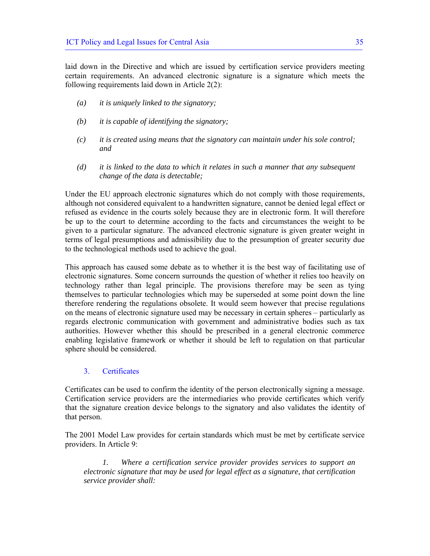laid down in the Directive and which are issued by certification service providers meeting certain requirements. An advanced electronic signature is a signature which meets the following requirements laid down in Article 2(2):

- *(a) it is uniquely linked to the signatory;*
- *(b) it is capable of identifying the signatory;*
- *(c) it is created using means that the signatory can maintain under his sole control; and*
- *(d) it is linked to the data to which it relates in such a manner that any subsequent change of the data is detectable;*

Under the EU approach electronic signatures which do not comply with those requirements, although not considered equivalent to a handwritten signature, cannot be denied legal effect or refused as evidence in the courts solely because they are in electronic form. It will therefore be up to the court to determine according to the facts and circumstances the weight to be given to a particular signature. The advanced electronic signature is given greater weight in terms of legal presumptions and admissibility due to the presumption of greater security due to the technological methods used to achieve the goal.

This approach has caused some debate as to whether it is the best way of facilitating use of electronic signatures. Some concern surrounds the question of whether it relies too heavily on technology rather than legal principle. The provisions therefore may be seen as tying themselves to particular technologies which may be superseded at some point down the line therefore rendering the regulations obsolete. It would seem however that precise regulations on the means of electronic signature used may be necessary in certain spheres – particularly as regards electronic communication with government and administrative bodies such as tax authorities. However whether this should be prescribed in a general electronic commerce enabling legislative framework or whether it should be left to regulation on that particular sphere should be considered.

### 3. Certificates

Certificates can be used to confirm the identity of the person electronically signing a message. Certification service providers are the intermediaries who provide certificates which verify that the signature creation device belongs to the signatory and also validates the identity of that person.

The 2001 Model Law provides for certain standards which must be met by certificate service providers. In Article 9:

*1. Where a certification service provider provides services to support an electronic signature that may be used for legal effect as a signature, that certification service provider shall:*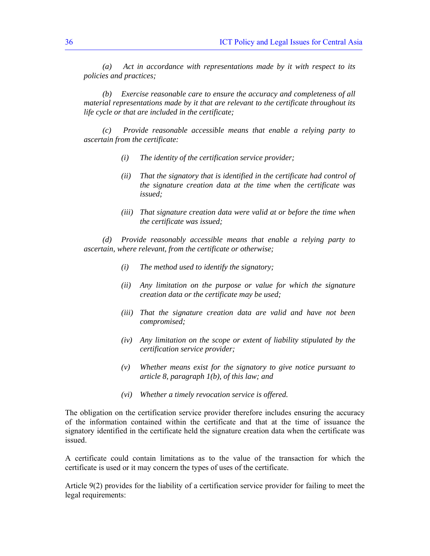*(a) Act in accordance with representations made by it with respect to its policies and practices;* 

*(b) Exercise reasonable care to ensure the accuracy and completeness of all material representations made by it that are relevant to the certificate throughout its life cycle or that are included in the certificate;* 

*(c) Provide reasonable accessible means that enable a relying party to ascertain from the certificate:* 

- *(i) The identity of the certification service provider;*
- *(ii) That the signatory that is identified in the certificate had control of the signature creation data at the time when the certificate was issued;*
- *(iii) That signature creation data were valid at or before the time when the certificate was issued;*

*(d) Provide reasonably accessible means that enable a relying party to ascertain, where relevant, from the certificate or otherwise;* 

- *(i) The method used to identify the signatory;*
- *(ii) Any limitation on the purpose or value for which the signature creation data or the certificate may be used;*
- *(iii) That the signature creation data are valid and have not been compromised;*
- *(iv) Any limitation on the scope or extent of liability stipulated by the certification service provider;*
- *(v) Whether means exist for the signatory to give notice pursuant to article 8, paragraph 1(b), of this law; and*
- *(vi) Whether a timely revocation service is offered.*

The obligation on the certification service provider therefore includes ensuring the accuracy of the information contained within the certificate and that at the time of issuance the signatory identified in the certificate held the signature creation data when the certificate was issued.

A certificate could contain limitations as to the value of the transaction for which the certificate is used or it may concern the types of uses of the certificate.

Article 9(2) provides for the liability of a certification service provider for failing to meet the legal requirements: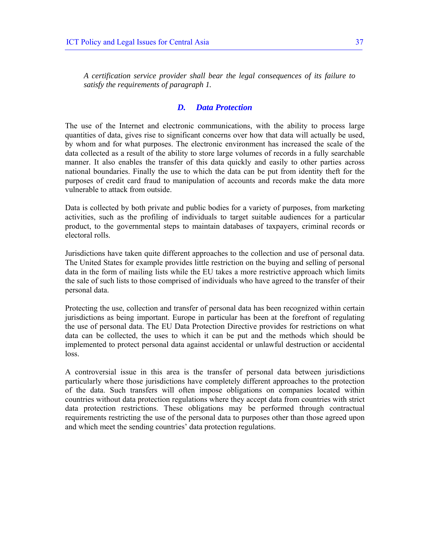*A certification service provider shall bear the legal consequences of its failure to satisfy the requirements of paragraph 1.* 

#### *D. Data Protection*

The use of the Internet and electronic communications, with the ability to process large quantities of data, gives rise to significant concerns over how that data will actually be used, by whom and for what purposes. The electronic environment has increased the scale of the data collected as a result of the ability to store large volumes of records in a fully searchable manner. It also enables the transfer of this data quickly and easily to other parties across national boundaries. Finally the use to which the data can be put from identity theft for the purposes of credit card fraud to manipulation of accounts and records make the data more vulnerable to attack from outside.

Data is collected by both private and public bodies for a variety of purposes, from marketing activities, such as the profiling of individuals to target suitable audiences for a particular product, to the governmental steps to maintain databases of taxpayers, criminal records or electoral rolls.

Jurisdictions have taken quite different approaches to the collection and use of personal data. The United States for example provides little restriction on the buying and selling of personal data in the form of mailing lists while the EU takes a more restrictive approach which limits the sale of such lists to those comprised of individuals who have agreed to the transfer of their personal data.

Protecting the use, collection and transfer of personal data has been recognized within certain jurisdictions as being important. Europe in particular has been at the forefront of regulating the use of personal data. The EU Data Protection Directive provides for restrictions on what data can be collected, the uses to which it can be put and the methods which should be implemented to protect personal data against accidental or unlawful destruction or accidental loss.

A controversial issue in this area is the transfer of personal data between jurisdictions particularly where those jurisdictions have completely different approaches to the protection of the data. Such transfers will often impose obligations on companies located within countries without data protection regulations where they accept data from countries with strict data protection restrictions. These obligations may be performed through contractual requirements restricting the use of the personal data to purposes other than those agreed upon and which meet the sending countries' data protection regulations.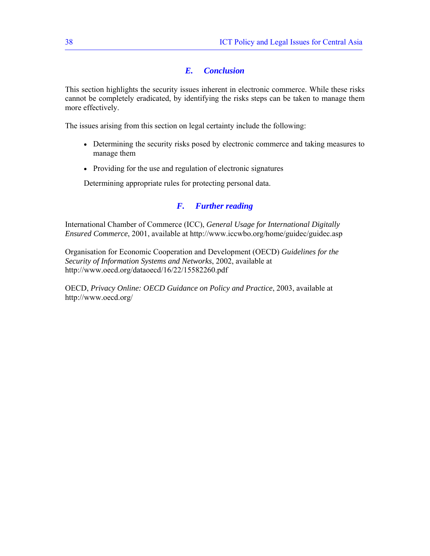## *E. Conclusion*

This section highlights the security issues inherent in electronic commerce. While these risks cannot be completely eradicated, by identifying the risks steps can be taken to manage them more effectively.

The issues arising from this section on legal certainty include the following:

- Determining the security risks posed by electronic commerce and taking measures to manage them
- Providing for the use and regulation of electronic signatures

Determining appropriate rules for protecting personal data.

#### *F. Further reading*

International Chamber of Commerce (ICC), *General Usage for International Digitally Ensured Commerce*, 2001, available at http://www.iccwbo.org/home/guidec/guidec.asp

Organisation for Economic Cooperation and Development (OECD) *Guidelines for the Security of Information Systems and Networks*, 2002, available at http://www.oecd.org/dataoecd/16/22/15582260.pdf

OECD, *Privacy Online: OECD Guidance on Policy and Practice*, 2003, available at http://www.oecd.org/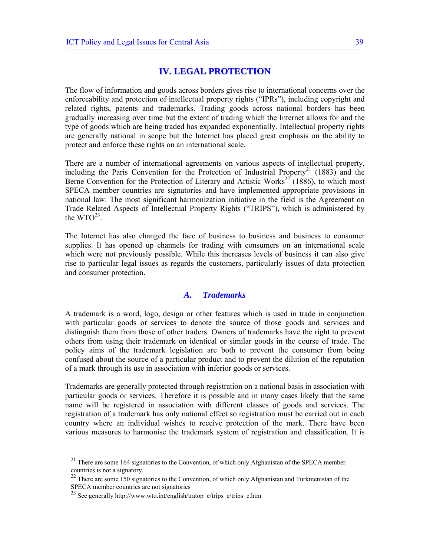### **IV. LEGAL PROTECTION**

The flow of information and goods across borders gives rise to international concerns over the enforceability and protection of intellectual property rights ("IPRs"), including copyright and related rights, patents and trademarks. Trading goods across national borders has been gradually increasing over time but the extent of trading which the Internet allows for and the type of goods which are being traded has expanded exponentially. Intellectual property rights are generally national in scope but the Internet has placed great emphasis on the ability to protect and enforce these rights on an international scale.

There are a number of international agreements on various aspects of intellectual property, including the Paris Convention for the Protection of Industrial Property<sup>21</sup> (1883) and the Berne Convention for the Protection of Literary and Artistic Works<sup>22</sup> (1886), to which most SPECA member countries are signatories and have implemented appropriate provisions in national law. The most significant harmonization initiative in the field is the Agreement on Trade Related Aspects of Intellectual Property Rights ("TRIPS"), which is administered by the  $WTO^{23}$ .

The Internet has also changed the face of business to business and business to consumer supplies. It has opened up channels for trading with consumers on an international scale which were not previously possible. While this increases levels of business it can also give rise to particular legal issues as regards the customers, particularly issues of data protection and consumer protection.

#### *A. Trademarks*

A trademark is a word, logo, design or other features which is used in trade in conjunction with particular goods or services to denote the source of those goods and services and distinguish them from those of other traders. Owners of trademarks have the right to prevent others from using their trademark on identical or similar goods in the course of trade. The policy aims of the trademark legislation are both to prevent the consumer from being confused about the source of a particular product and to prevent the dilution of the reputation of a mark through its use in association with inferior goods or services.

Trademarks are generally protected through registration on a national basis in association with particular goods or services. Therefore it is possible and in many cases likely that the same name will be registered in association with different classes of goods and services. The registration of a trademark has only national effect so registration must be carried out in each country where an individual wishes to receive protection of the mark. There have been various measures to harmonise the trademark system of registration and classification. It is

<sup>&</sup>lt;sup>21</sup> There are some 164 signatories to the Convention, of which only Afghanistan of the SPECA member countries is not a signatory.

 $22$  There are some 150 signatories to the Convention, of which only Afghanistan and Turkmenistan of the SPECA member countries are not signatories

See generally http://www.wto.int/english/tratop\_e/trips\_e/trips\_e.htm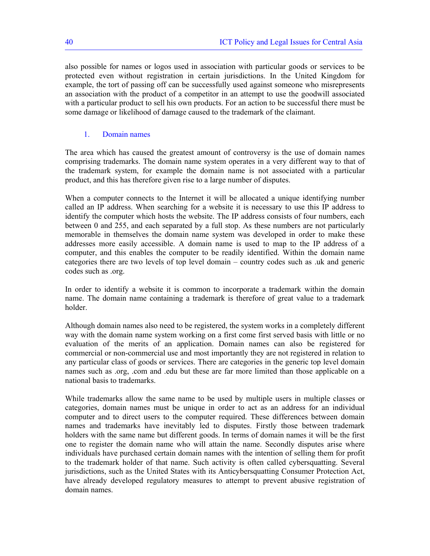also possible for names or logos used in association with particular goods or services to be protected even without registration in certain jurisdictions. In the United Kingdom for example, the tort of passing off can be successfully used against someone who misrepresents an association with the product of a competitor in an attempt to use the goodwill associated with a particular product to sell his own products. For an action to be successful there must be some damage or likelihood of damage caused to the trademark of the claimant.

### 1. Domain names

The area which has caused the greatest amount of controversy is the use of domain names comprising trademarks. The domain name system operates in a very different way to that of the trademark system, for example the domain name is not associated with a particular product, and this has therefore given rise to a large number of disputes.

When a computer connects to the Internet it will be allocated a unique identifying number called an IP address. When searching for a website it is necessary to use this IP address to identify the computer which hosts the website. The IP address consists of four numbers, each between 0 and 255, and each separated by a full stop. As these numbers are not particularly memorable in themselves the domain name system was developed in order to make these addresses more easily accessible. A domain name is used to map to the IP address of a computer, and this enables the computer to be readily identified. Within the domain name categories there are two levels of top level domain – country codes such as .uk and generic codes such as .org.

In order to identify a website it is common to incorporate a trademark within the domain name. The domain name containing a trademark is therefore of great value to a trademark holder.

Although domain names also need to be registered, the system works in a completely different way with the domain name system working on a first come first served basis with little or no evaluation of the merits of an application. Domain names can also be registered for commercial or non-commercial use and most importantly they are not registered in relation to any particular class of goods or services. There are categories in the generic top level domain names such as .org, .com and .edu but these are far more limited than those applicable on a national basis to trademarks.

While trademarks allow the same name to be used by multiple users in multiple classes or categories, domain names must be unique in order to act as an address for an individual computer and to direct users to the computer required. These differences between domain names and trademarks have inevitably led to disputes. Firstly those between trademark holders with the same name but different goods. In terms of domain names it will be the first one to register the domain name who will attain the name. Secondly disputes arise where individuals have purchased certain domain names with the intention of selling them for profit to the trademark holder of that name. Such activity is often called cybersquatting. Several jurisdictions, such as the United States with its Anticybersquatting Consumer Protection Act, have already developed regulatory measures to attempt to prevent abusive registration of domain names.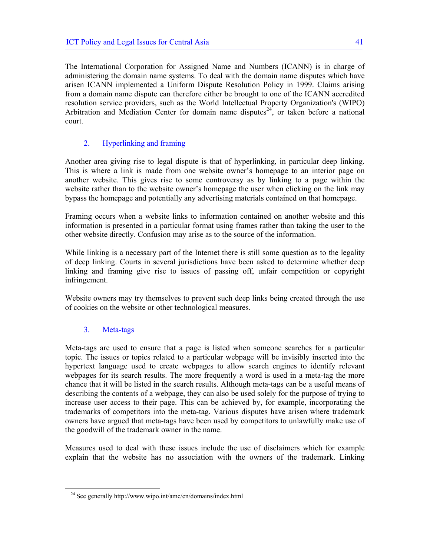The International Corporation for Assigned Name and Numbers (ICANN) is in charge of administering the domain name systems. To deal with the domain name disputes which have arisen ICANN implemented a Uniform Dispute Resolution Policy in 1999. Claims arising from a domain name dispute can therefore either be brought to one of the ICANN accredited resolution service providers, such as the World Intellectual Property Organization's (WIPO) Arbitration and Mediation Center for domain name disputes<sup>24</sup>, or taken before a national court.

# 2. Hyperlinking and framing

Another area giving rise to legal dispute is that of hyperlinking, in particular deep linking. This is where a link is made from one website owner's homepage to an interior page on another website. This gives rise to some controversy as by linking to a page within the website rather than to the website owner's homepage the user when clicking on the link may bypass the homepage and potentially any advertising materials contained on that homepage.

Framing occurs when a website links to information contained on another website and this information is presented in a particular format using frames rather than taking the user to the other website directly. Confusion may arise as to the source of the information.

While linking is a necessary part of the Internet there is still some question as to the legality of deep linking. Courts in several jurisdictions have been asked to determine whether deep linking and framing give rise to issues of passing off, unfair competition or copyright infringement.

Website owners may try themselves to prevent such deep links being created through the use of cookies on the website or other technological measures.

### 3. Meta-tags

Meta-tags are used to ensure that a page is listed when someone searches for a particular topic. The issues or topics related to a particular webpage will be invisibly inserted into the hypertext language used to create webpages to allow search engines to identify relevant webpages for its search results. The more frequently a word is used in a meta-tag the more chance that it will be listed in the search results. Although meta-tags can be a useful means of describing the contents of a webpage, they can also be used solely for the purpose of trying to increase user access to their page. This can be achieved by, for example, incorporating the trademarks of competitors into the meta-tag. Various disputes have arisen where trademark owners have argued that meta-tags have been used by competitors to unlawfully make use of the goodwill of the trademark owner in the name.

Measures used to deal with these issues include the use of disclaimers which for example explain that the website has no association with the owners of the trademark. Linking

 <sup>24</sup> See generally http://www.wipo.int/amc/en/domains/index.html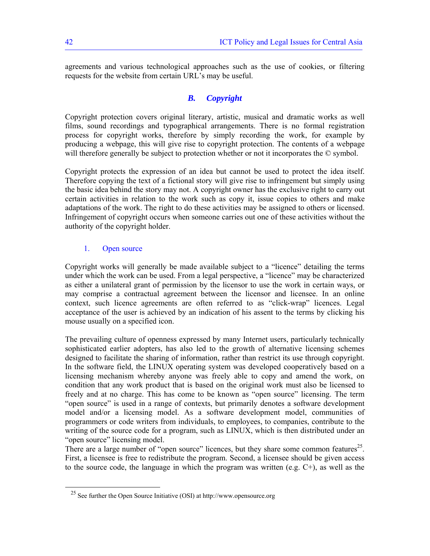agreements and various technological approaches such as the use of cookies, or filtering requests for the website from certain URL's may be useful.

# *B. Copyright*

Copyright protection covers original literary, artistic, musical and dramatic works as well films, sound recordings and typographical arrangements. There is no formal registration process for copyright works, therefore by simply recording the work, for example by producing a webpage, this will give rise to copyright protection. The contents of a webpage will therefore generally be subject to protection whether or not it incorporates the  $\odot$  symbol.

Copyright protects the expression of an idea but cannot be used to protect the idea itself. Therefore copying the text of a fictional story will give rise to infringement but simply using the basic idea behind the story may not. A copyright owner has the exclusive right to carry out certain activities in relation to the work such as copy it, issue copies to others and make adaptations of the work. The right to do these activities may be assigned to others or licensed. Infringement of copyright occurs when someone carries out one of these activities without the authority of the copyright holder.

### 1. Open source

Copyright works will generally be made available subject to a "licence" detailing the terms under which the work can be used. From a legal perspective, a "licence" may be characterized as either a unilateral grant of permission by the licensor to use the work in certain ways, or may comprise a contractual agreement between the licensor and licensee. In an online context, such licence agreements are often referred to as "click-wrap" licences. Legal acceptance of the user is achieved by an indication of his assent to the terms by clicking his mouse usually on a specified icon.

The prevailing culture of openness expressed by many Internet users, particularly technically sophisticated earlier adopters, has also led to the growth of alternative licensing schemes designed to facilitate the sharing of information, rather than restrict its use through copyright. In the software field, the LINUX operating system was developed cooperatively based on a licensing mechanism whereby anyone was freely able to copy and amend the work, on condition that any work product that is based on the original work must also be licensed to freely and at no charge. This has come to be known as "open source" licensing. The term "open source" is used in a range of contexts, but primarily denotes a software development model and/or a licensing model. As a software development model, communities of programmers or code writers from individuals, to employees, to companies, contribute to the writing of the source code for a program, such as LINUX, which is then distributed under an "open source" licensing model.

There are a large number of "open source" licences, but they share some common features<sup>25</sup>. First, a licensee is free to redistribute the program. Second, a licensee should be given access to the source code, the language in which the program was written (e.g. C+), as well as the

 <sup>25</sup> See further the Open Source Initiative (OSI) at http://www.opensource.org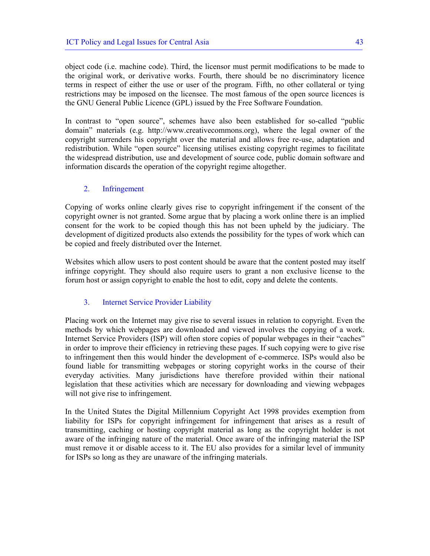object code (i.e. machine code). Third, the licensor must permit modifications to be made to the original work, or derivative works. Fourth, there should be no discriminatory licence terms in respect of either the use or user of the program. Fifth, no other collateral or tying restrictions may be imposed on the licensee. The most famous of the open source licences is the GNU General Public Licence (GPL) issued by the Free Software Foundation.

In contrast to "open source", schemes have also been established for so-called "public domain" materials (e.g. http://www.creativecommons.org), where the legal owner of the copyright surrenders his copyright over the material and allows free re-use, adaptation and redistribution. While "open source" licensing utilises existing copyright regimes to facilitate the widespread distribution, use and development of source code, public domain software and information discards the operation of the copyright regime altogether.

### 2. Infringement

Copying of works online clearly gives rise to copyright infringement if the consent of the copyright owner is not granted. Some argue that by placing a work online there is an implied consent for the work to be copied though this has not been upheld by the judiciary. The development of digitized products also extends the possibility for the types of work which can be copied and freely distributed over the Internet.

Websites which allow users to post content should be aware that the content posted may itself infringe copyright. They should also require users to grant a non exclusive license to the forum host or assign copyright to enable the host to edit, copy and delete the contents.

#### 3. Internet Service Provider Liability

Placing work on the Internet may give rise to several issues in relation to copyright. Even the methods by which webpages are downloaded and viewed involves the copying of a work. Internet Service Providers (ISP) will often store copies of popular webpages in their "caches" in order to improve their efficiency in retrieving these pages. If such copying were to give rise to infringement then this would hinder the development of e-commerce. ISPs would also be found liable for transmitting webpages or storing copyright works in the course of their everyday activities. Many jurisdictions have therefore provided within their national legislation that these activities which are necessary for downloading and viewing webpages will not give rise to infringement.

In the United States the Digital Millennium Copyright Act 1998 provides exemption from liability for ISPs for copyright infringement for infringement that arises as a result of transmitting, caching or hosting copyright material as long as the copyright holder is not aware of the infringing nature of the material. Once aware of the infringing material the ISP must remove it or disable access to it. The EU also provides for a similar level of immunity for ISPs so long as they are unaware of the infringing materials.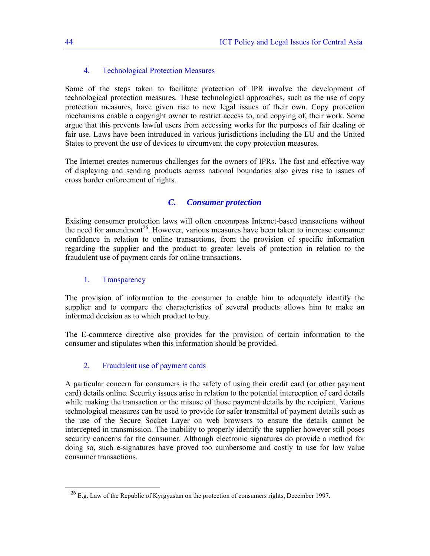### 4. Technological Protection Measures

Some of the steps taken to facilitate protection of IPR involve the development of technological protection measures. These technological approaches, such as the use of copy protection measures, have given rise to new legal issues of their own. Copy protection mechanisms enable a copyright owner to restrict access to, and copying of, their work. Some argue that this prevents lawful users from accessing works for the purposes of fair dealing or fair use. Laws have been introduced in various jurisdictions including the EU and the United States to prevent the use of devices to circumvent the copy protection measures.

The Internet creates numerous challenges for the owners of IPRs. The fast and effective way of displaying and sending products across national boundaries also gives rise to issues of cross border enforcement of rights.

# *C. Consumer protection*

Existing consumer protection laws will often encompass Internet-based transactions without the need for amendment<sup>26</sup>. However, various measures have been taken to increase consumer confidence in relation to online transactions, from the provision of specific information regarding the supplier and the product to greater levels of protection in relation to the fraudulent use of payment cards for online transactions.

### 1. Transparency

The provision of information to the consumer to enable him to adequately identify the supplier and to compare the characteristics of several products allows him to make an informed decision as to which product to buy.

The E-commerce directive also provides for the provision of certain information to the consumer and stipulates when this information should be provided.

### 2. Fraudulent use of payment cards

A particular concern for consumers is the safety of using their credit card (or other payment card) details online. Security issues arise in relation to the potential interception of card details while making the transaction or the misuse of those payment details by the recipient. Various technological measures can be used to provide for safer transmittal of payment details such as the use of the Secure Socket Layer on web browsers to ensure the details cannot be intercepted in transmission. The inability to properly identify the supplier however still poses security concerns for the consumer. Although electronic signatures do provide a method for doing so, such e-signatures have proved too cumbersome and costly to use for low value consumer transactions.

<sup>&</sup>lt;sup>26</sup> E.g. Law of the Republic of Kyrgyzstan on the protection of consumers rights, December 1997.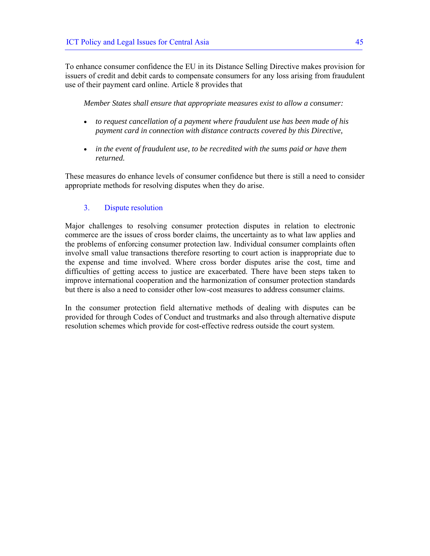To enhance consumer confidence the EU in its Distance Selling Directive makes provision for issuers of credit and debit cards to compensate consumers for any loss arising from fraudulent use of their payment card online. Article 8 provides that

*Member States shall ensure that appropriate measures exist to allow a consumer:* 

- *to request cancellation of a payment where fraudulent use has been made of his payment card in connection with distance contracts covered by this Directive,*
- *in the event of fraudulent use, to be recredited with the sums paid or have them returned.*

These measures do enhance levels of consumer confidence but there is still a need to consider appropriate methods for resolving disputes when they do arise.

### 3. Dispute resolution

Major challenges to resolving consumer protection disputes in relation to electronic commerce are the issues of cross border claims, the uncertainty as to what law applies and the problems of enforcing consumer protection law. Individual consumer complaints often involve small value transactions therefore resorting to court action is inappropriate due to the expense and time involved. Where cross border disputes arise the cost, time and difficulties of getting access to justice are exacerbated. There have been steps taken to improve international cooperation and the harmonization of consumer protection standards but there is also a need to consider other low-cost measures to address consumer claims.

In the consumer protection field alternative methods of dealing with disputes can be provided for through Codes of Conduct and trustmarks and also through alternative dispute resolution schemes which provide for cost-effective redress outside the court system.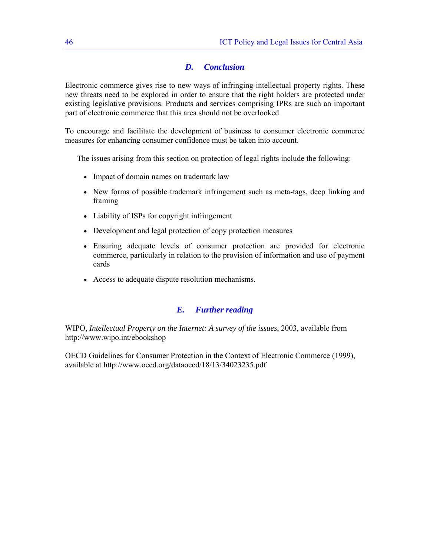# *D. Conclusion*

Electronic commerce gives rise to new ways of infringing intellectual property rights. These new threats need to be explored in order to ensure that the right holders are protected under existing legislative provisions. Products and services comprising IPRs are such an important part of electronic commerce that this area should not be overlooked

To encourage and facilitate the development of business to consumer electronic commerce measures for enhancing consumer confidence must be taken into account.

The issues arising from this section on protection of legal rights include the following:

- Impact of domain names on trademark law
- New forms of possible trademark infringement such as meta-tags, deep linking and framing
- Liability of ISPs for copyright infringement
- Development and legal protection of copy protection measures
- Ensuring adequate levels of consumer protection are provided for electronic commerce, particularly in relation to the provision of information and use of payment cards
- Access to adequate dispute resolution mechanisms.

### *E. Further reading*

WIPO, *Intellectual Property on the Internet: A survey of the issues*, 2003, available from http://www.wipo.int/ebookshop

OECD Guidelines for Consumer Protection in the Context of Electronic Commerce (1999), available at http://www.oecd.org/dataoecd/18/13/34023235.pdf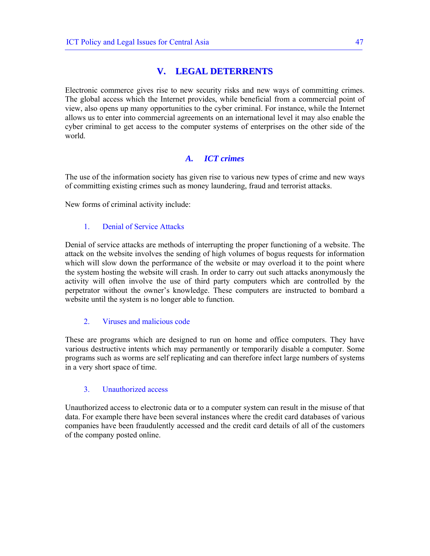# **V. LEGAL DETERRENTS**

Electronic commerce gives rise to new security risks and new ways of committing crimes. The global access which the Internet provides, while beneficial from a commercial point of view, also opens up many opportunities to the cyber criminal. For instance, while the Internet allows us to enter into commercial agreements on an international level it may also enable the cyber criminal to get access to the computer systems of enterprises on the other side of the world.

# *A. ICT crimes*

The use of the information society has given rise to various new types of crime and new ways of committing existing crimes such as money laundering, fraud and terrorist attacks.

New forms of criminal activity include:

### 1. Denial of Service Attacks

Denial of service attacks are methods of interrupting the proper functioning of a website. The attack on the website involves the sending of high volumes of bogus requests for information which will slow down the performance of the website or may overload it to the point where the system hosting the website will crash. In order to carry out such attacks anonymously the activity will often involve the use of third party computers which are controlled by the perpetrator without the owner's knowledge. These computers are instructed to bombard a website until the system is no longer able to function.

#### 2. Viruses and malicious code

These are programs which are designed to run on home and office computers. They have various destructive intents which may permanently or temporarily disable a computer. Some programs such as worms are self replicating and can therefore infect large numbers of systems in a very short space of time.

### 3. Unauthorized access

Unauthorized access to electronic data or to a computer system can result in the misuse of that data. For example there have been several instances where the credit card databases of various companies have been fraudulently accessed and the credit card details of all of the customers of the company posted online.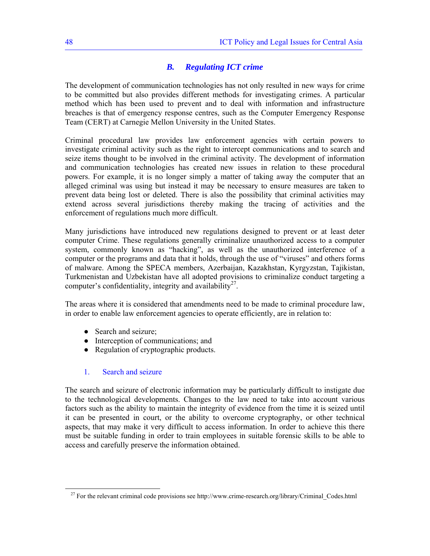# *B. Regulating ICT crime*

The development of communication technologies has not only resulted in new ways for crime to be committed but also provides different methods for investigating crimes. A particular method which has been used to prevent and to deal with information and infrastructure breaches is that of emergency response centres, such as the Computer Emergency Response Team (CERT) at Carnegie Mellon University in the United States.

Criminal procedural law provides law enforcement agencies with certain powers to investigate criminal activity such as the right to intercept communications and to search and seize items thought to be involved in the criminal activity. The development of information and communication technologies has created new issues in relation to these procedural powers. For example, it is no longer simply a matter of taking away the computer that an alleged criminal was using but instead it may be necessary to ensure measures are taken to prevent data being lost or deleted. There is also the possibility that criminal activities may extend across several jurisdictions thereby making the tracing of activities and the enforcement of regulations much more difficult.

Many jurisdictions have introduced new regulations designed to prevent or at least deter computer Crime. These regulations generally criminalize unauthorized access to a computer system, commonly known as "hacking", as well as the unauthorized interference of a computer or the programs and data that it holds, through the use of "viruses" and others forms of malware. Among the SPECA members, Azerbaijan, Kazakhstan, Kyrgyzstan, Tajikistan, Turkmenistan and Uzbekistan have all adopted provisions to criminalize conduct targeting a computer's confidentiality, integrity and availability<sup>27</sup>.

The areas where it is considered that amendments need to be made to criminal procedure law, in order to enable law enforcement agencies to operate efficiently, are in relation to:

- Search and seizure;
- Interception of communications; and
- Regulation of cryptographic products.
- 1. Search and seizure

The search and seizure of electronic information may be particularly difficult to instigate due to the technological developments. Changes to the law need to take into account various factors such as the ability to maintain the integrity of evidence from the time it is seized until it can be presented in court, or the ability to overcome cryptography, or other technical aspects, that may make it very difficult to access information. In order to achieve this there must be suitable funding in order to train employees in suitable forensic skills to be able to access and carefully preserve the information obtained.

<sup>&</sup>lt;sup>27</sup> For the relevant criminal code provisions see http://www.crime-research.org/library/Criminal\_Codes.html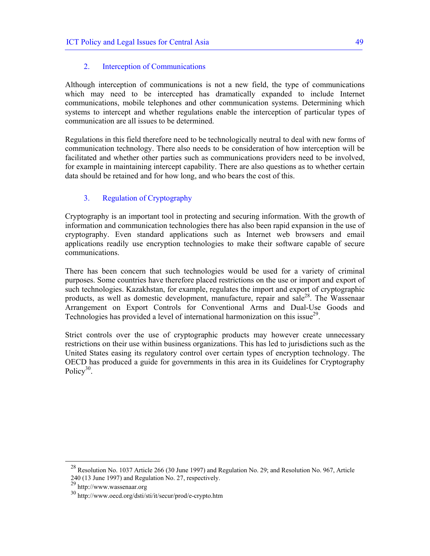#### 2. Interception of Communications

Although interception of communications is not a new field, the type of communications which may need to be intercepted has dramatically expanded to include Internet communications, mobile telephones and other communication systems. Determining which systems to intercept and whether regulations enable the interception of particular types of communication are all issues to be determined.

Regulations in this field therefore need to be technologically neutral to deal with new forms of communication technology. There also needs to be consideration of how interception will be facilitated and whether other parties such as communications providers need to be involved, for example in maintaining intercept capability. There are also questions as to whether certain data should be retained and for how long, and who bears the cost of this.

### 3. Regulation of Cryptography

Cryptography is an important tool in protecting and securing information. With the growth of information and communication technologies there has also been rapid expansion in the use of cryptography. Even standard applications such as Internet web browsers and email applications readily use encryption technologies to make their software capable of secure communications.

There has been concern that such technologies would be used for a variety of criminal purposes. Some countries have therefore placed restrictions on the use or import and export of such technologies. Kazakhstan, for example, regulates the import and export of cryptographic products, as well as domestic development, manufacture, repair and sale<sup>28</sup>. The Wassenaar Arrangement on Export Controls for Conventional Arms and Dual-Use Goods and Technologies has provided a level of international harmonization on this issue<sup>29</sup>.

Strict controls over the use of cryptographic products may however create unnecessary restrictions on their use within business organizations. This has led to jurisdictions such as the United States easing its regulatory control over certain types of encryption technology. The OECD has produced a guide for governments in this area in its Guidelines for Cryptography Policy<sup>30</sup>.

 <sup>28</sup> Resolution No. 1037 Article 266 (30 June 1997) and Regulation No. 29; and Resolution No. 967, Article 240 (13 June 1997) and Regulation No. 27, respectively.

 $^{29}$  http://www.wassenaar.org

<sup>30</sup> http://www.oecd.org/dsti/sti/it/secur/prod/e-crypto.htm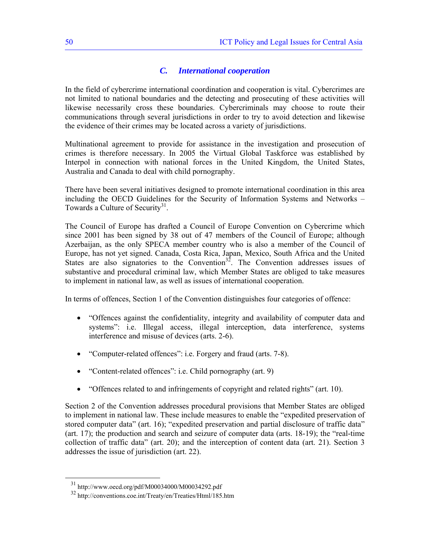# *C. International cooperation*

In the field of cybercrime international coordination and cooperation is vital. Cybercrimes are not limited to national boundaries and the detecting and prosecuting of these activities will likewise necessarily cross these boundaries. Cybercriminals may choose to route their communications through several jurisdictions in order to try to avoid detection and likewise the evidence of their crimes may be located across a variety of jurisdictions.

Multinational agreement to provide for assistance in the investigation and prosecution of crimes is therefore necessary. In 2005 the Virtual Global Taskforce was established by Interpol in connection with national forces in the United Kingdom, the United States, Australia and Canada to deal with child pornography.

There have been several initiatives designed to promote international coordination in this area including the OECD Guidelines for the Security of Information Systems and Networks – Towards a Culture of Security<sup>31</sup>.

The Council of Europe has drafted a Council of Europe Convention on Cybercrime which since 2001 has been signed by 38 out of 47 members of the Council of Europe; although Azerbaijan, as the only SPECA member country who is also a member of the Council of Europe, has not yet signed. Canada, Costa Rica, Japan, Mexico, South Africa and the United States are also signatories to the Convention<sup>32</sup>. The Convention addresses issues of substantive and procedural criminal law, which Member States are obliged to take measures to implement in national law, as well as issues of international cooperation.

In terms of offences, Section 1 of the Convention distinguishes four categories of offence:

- "Offences against the confidentiality, integrity and availability of computer data and systems": i.e. Illegal access, illegal interception, data interference, systems interference and misuse of devices (arts. 2-6).
- "Computer-related offences": i.e. Forgery and fraud (arts. 7-8).
- "Content-related offences": i.e. Child pornography (art. 9)
- "Offences related to and infringements of copyright and related rights" (art. 10).

Section 2 of the Convention addresses procedural provisions that Member States are obliged to implement in national law. These include measures to enable the "expedited preservation of stored computer data" (art. 16); "expedited preservation and partial disclosure of traffic data" (art. 17); the production and search and seizure of computer data (arts. 18-19); the "real-time collection of traffic data" (art. 20); and the interception of content data (art. 21). Section 3 addresses the issue of jurisdiction (art. 22).

 <sup>31</sup> http://www.oecd.org/pdf/M00034000/M00034292.pdf

 $32$  http://conventions.coe.int/Treaty/en/Treaties/Html/185.htm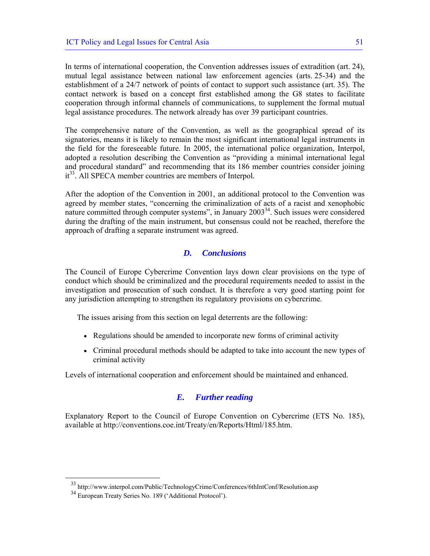In terms of international cooperation, the Convention addresses issues of extradition (art. 24), mutual legal assistance between national law enforcement agencies (arts. 25-34) and the establishment of a 24/7 network of points of contact to support such assistance (art. 35). The contact network is based on a concept first established among the G8 states to facilitate cooperation through informal channels of communications, to supplement the formal mutual legal assistance procedures. The network already has over 39 participant countries.

The comprehensive nature of the Convention, as well as the geographical spread of its signatories, means it is likely to remain the most significant international legal instruments in the field for the foreseeable future. In 2005, the international police organization, Interpol, adopted a resolution describing the Convention as "providing a minimal international legal and procedural standard" and recommending that its 186 member countries consider joining it<sup>33</sup>. All SPECA member countries are members of Interpol.

After the adoption of the Convention in 2001, an additional protocol to the Convention was agreed by member states, "concerning the criminalization of acts of a racist and xenophobic nature committed through computer systems", in January 2003<sup>34</sup>. Such issues were considered during the drafting of the main instrument, but consensus could not be reached, therefore the approach of drafting a separate instrument was agreed.

#### *D. Conclusions*

The Council of Europe Cybercrime Convention lays down clear provisions on the type of conduct which should be criminalized and the procedural requirements needed to assist in the investigation and prosecution of such conduct. It is therefore a very good starting point for any jurisdiction attempting to strengthen its regulatory provisions on cybercrime.

The issues arising from this section on legal deterrents are the following:

- Regulations should be amended to incorporate new forms of criminal activity
- Criminal procedural methods should be adapted to take into account the new types of criminal activity

Levels of international cooperation and enforcement should be maintained and enhanced.

### *E. Further reading*

Explanatory Report to the Council of Europe Convention on Cybercrime (ETS No. 185), available at http://conventions.coe.int/Treaty/en/Reports/Html/185.htm.

 <sup>33</sup> http://www.interpol.com/Public/TechnologyCrime/Conferences/6thIntConf/Resolution.asp

<sup>34</sup> European Treaty Series No. 189 ('Additional Protocol').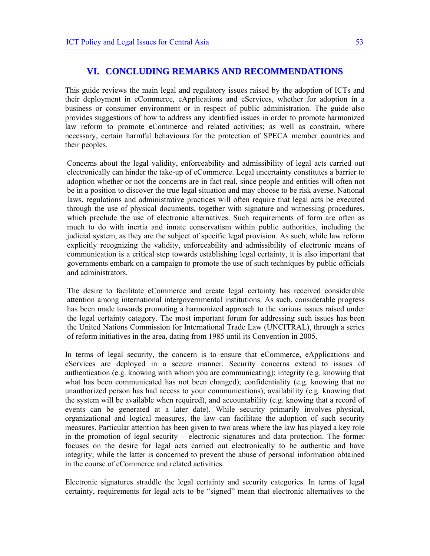# **VI. CONCLUDING REMARKS AND RECOMMENDATIONS**

This guide reviews the main legal and regulatory issues raised by the adoption of ICTs and their deployment in eCommerce, eApplications and eServices, whether for adoption in a business or consumer environment or in respect of public administration. The guide also provides suggestions of how to address any identified issues in order to promote harmonized law reform to promote eCommerce and related activities; as well as constrain, where necessary, certain harmful behaviours for the protection of SPECA member countries and their peoples.

Concerns about the legal validity, enforceability and admissibility of legal acts carried out electronically can hinder the take-up of eCommerce. Legal uncertainty constitutes a barrier to adoption whether or not the concerns are in fact real, since people and entities will often not be in a position to discover the true legal situation and may choose to be risk averse. National laws, regulations and administrative practices will often require that legal acts be executed through the use of physical documents, together with signature and witnessing procedures, which preclude the use of electronic alternatives. Such requirements of form are often as much to do with inertia and innate conservatism within public authorities, including the judicial system, as they are the subject of specific legal provision. As such, while law reform explicitly recognizing the validity, enforceability and admissibility of electronic means of communication is a critical step towards establishing legal certainty, it is also important that governments embark on a campaign to promote the use of such techniques by public officials and administrators.

The desire to facilitate eCommerce and create legal certainty has received considerable attention among international intergovernmental institutions. As such, considerable progress has been made towards promoting a harmonized approach to the various issues raised under the legal certainty category. The most important forum for addressing such issues has been the United Nations Commission for International Trade Law (UNCITRAL), through a series of reform initiatives in the area, dating from 1985 until its Convention in 2005.

In terms of legal security, the concern is to ensure that eCommerce, eApplications and eServices are deployed in a secure manner. Security concerns extend to issues of authentication (e.g. knowing with whom you are communicating); integrity (e.g. knowing that what has been communicated has not been changed); confidentiality (e.g. knowing that no unauthorized person has had access to your communications); availability (e.g. knowing that the system will be available when required), and accountability (e.g. knowing that a record of events can be generated at a later date). While security primarily involves physical, organizational and logical measures, the law can facilitate the adoption of such security measures. Particular attention has been given to two areas where the law has played a key role in the promotion of legal security – electronic signatures and data protection. The former focuses on the desire for legal acts carried out electronically to be authentic and have integrity; while the latter is concerned to prevent the abuse of personal information obtained in the course of eCommerce and related activities.

Electronic signatures straddle the legal certainty and security categories. In terms of legal certainty, requirements for legal acts to be "signed" mean that electronic alternatives to the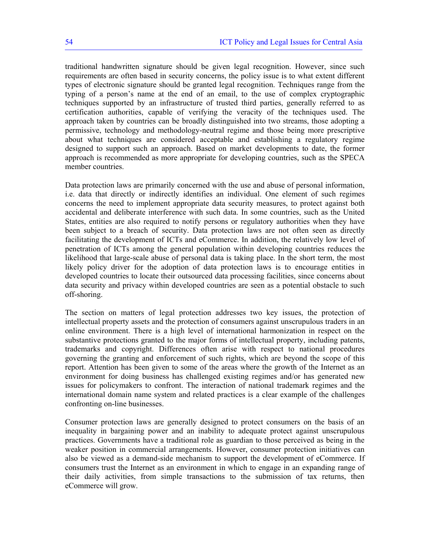traditional handwritten signature should be given legal recognition. However, since such requirements are often based in security concerns, the policy issue is to what extent different types of electronic signature should be granted legal recognition. Techniques range from the typing of a person's name at the end of an email, to the use of complex cryptographic techniques supported by an infrastructure of trusted third parties, generally referred to as certification authorities, capable of verifying the veracity of the techniques used. The approach taken by countries can be broadly distinguished into two streams, those adopting a permissive, technology and methodology-neutral regime and those being more prescriptive about what techniques are considered acceptable and establishing a regulatory regime designed to support such an approach. Based on market developments to date, the former approach is recommended as more appropriate for developing countries, such as the SPECA member countries.

Data protection laws are primarily concerned with the use and abuse of personal information, i.e. data that directly or indirectly identifies an individual. One element of such regimes concerns the need to implement appropriate data security measures, to protect against both accidental and deliberate interference with such data. In some countries, such as the United States, entities are also required to notify persons or regulatory authorities when they have been subject to a breach of security. Data protection laws are not often seen as directly facilitating the development of ICTs and eCommerce. In addition, the relatively low level of penetration of ICTs among the general population within developing countries reduces the likelihood that large-scale abuse of personal data is taking place. In the short term, the most likely policy driver for the adoption of data protection laws is to encourage entities in developed countries to locate their outsourced data processing facilities, since concerns about data security and privacy within developed countries are seen as a potential obstacle to such off-shoring.

The section on matters of legal protection addresses two key issues, the protection of intellectual property assets and the protection of consumers against unscrupulous traders in an online environment. There is a high level of international harmonization in respect on the substantive protections granted to the major forms of intellectual property, including patents, trademarks and copyright. Differences often arise with respect to national procedures governing the granting and enforcement of such rights, which are beyond the scope of this report. Attention has been given to some of the areas where the growth of the Internet as an environment for doing business has challenged existing regimes and/or has generated new issues for policymakers to confront. The interaction of national trademark regimes and the international domain name system and related practices is a clear example of the challenges confronting on-line businesses.

Consumer protection laws are generally designed to protect consumers on the basis of an inequality in bargaining power and an inability to adequate protect against unscrupulous practices. Governments have a traditional role as guardian to those perceived as being in the weaker position in commercial arrangements. However, consumer protection initiatives can also be viewed as a demand-side mechanism to support the development of eCommerce. If consumers trust the Internet as an environment in which to engage in an expanding range of their daily activities, from simple transactions to the submission of tax returns, then eCommerce will grow.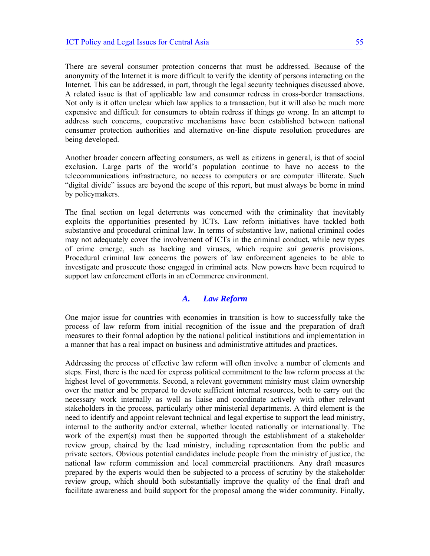There are several consumer protection concerns that must be addressed. Because of the anonymity of the Internet it is more difficult to verify the identity of persons interacting on the Internet. This can be addressed, in part, through the legal security techniques discussed above. A related issue is that of applicable law and consumer redress in cross-border transactions. Not only is it often unclear which law applies to a transaction, but it will also be much more expensive and difficult for consumers to obtain redress if things go wrong. In an attempt to address such concerns, cooperative mechanisms have been established between national consumer protection authorities and alternative on-line dispute resolution procedures are being developed.

Another broader concern affecting consumers, as well as citizens in general, is that of social exclusion. Large parts of the world's population continue to have no access to the telecommunications infrastructure, no access to computers or are computer illiterate. Such "digital divide" issues are beyond the scope of this report, but must always be borne in mind by policymakers.

The final section on legal deterrents was concerned with the criminality that inevitably exploits the opportunities presented by ICTs. Law reform initiatives have tackled both substantive and procedural criminal law. In terms of substantive law, national criminal codes may not adequately cover the involvement of ICTs in the criminal conduct, while new types of crime emerge, such as hacking and viruses, which require *sui generis* provisions. Procedural criminal law concerns the powers of law enforcement agencies to be able to investigate and prosecute those engaged in criminal acts. New powers have been required to support law enforcement efforts in an eCommerce environment.

#### *A. Law Reform*

One major issue for countries with economies in transition is how to successfully take the process of law reform from initial recognition of the issue and the preparation of draft measures to their formal adoption by the national political institutions and implementation in a manner that has a real impact on business and administrative attitudes and practices.

Addressing the process of effective law reform will often involve a number of elements and steps. First, there is the need for express political commitment to the law reform process at the highest level of governments. Second, a relevant government ministry must claim ownership over the matter and be prepared to devote sufficient internal resources, both to carry out the necessary work internally as well as liaise and coordinate actively with other relevant stakeholders in the process, particularly other ministerial departments. A third element is the need to identify and appoint relevant technical and legal expertise to support the lead ministry, internal to the authority and/or external, whether located nationally or internationally. The work of the expert(s) must then be supported through the establishment of a stakeholder review group, chaired by the lead ministry, including representation from the public and private sectors. Obvious potential candidates include people from the ministry of justice, the national law reform commission and local commercial practitioners. Any draft measures prepared by the experts would then be subjected to a process of scrutiny by the stakeholder review group, which should both substantially improve the quality of the final draft and facilitate awareness and build support for the proposal among the wider community. Finally,